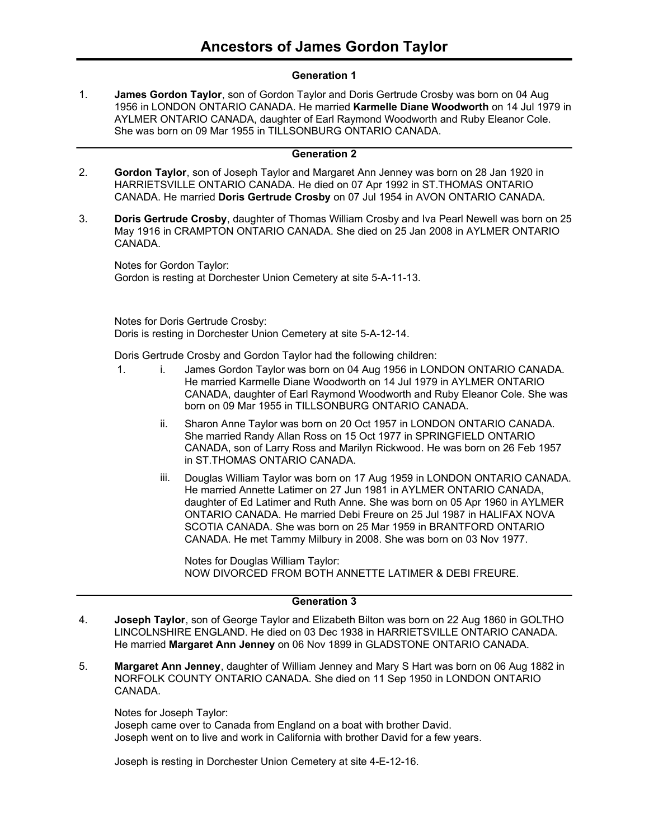### **Generation 1**

**James Gordon Taylor**, son of Gordon Taylor and Doris Gertrude Crosby was born on 04 Aug 1956 in LONDON ONTARIO CANADA. He married **Karmelle Diane Woodworth** on 14 Jul 1979 in AYLMER ONTARIO CANADA, daughter of Earl Raymond Woodworth and Ruby Eleanor Cole. She was born on 09 Mar 1955 in TILLSONBURG ONTARIO CANADA. 1.

### **Generation 2**

- **Gordon Taylor**, son of Joseph Taylor and Margaret Ann Jenney was born on 28 Jan 1920 in HARRIETSVILLE ONTARIO CANADA. He died on 07 Apr 1992 in ST.THOMAS ONTARIO CANADA. He married **Doris Gertrude Crosby** on 07 Jul 1954 in AVON ONTARIO CANADA. 2.
- **Doris Gertrude Crosby**, daughter of Thomas William Crosby and Iva Pearl Newell was born on 25 May 1916 in CRAMPTON ONTARIO CANADA. She died on 25 Jan 2008 in AYLMER ONTARIO CANADA. 3.

Notes for Gordon Taylor: Gordon is resting at Dorchester Union Cemetery at site 5-A-11-13.

Notes for Doris Gertrude Crosby: Doris is resting in Dorchester Union Cemetery at site 5-A-12-14.

Doris Gertrude Crosby and Gordon Taylor had the following children:

- 1. i. James Gordon Taylor was born on 04 Aug 1956 in LONDON ONTARIO CANADA. He married Karmelle Diane Woodworth on 14 Jul 1979 in AYLMER ONTARIO CANADA, daughter of Earl Raymond Woodworth and Ruby Eleanor Cole. She was born on 09 Mar 1955 in TILLSONBURG ONTARIO CANADA.
	- ii. Sharon Anne Taylor was born on 20 Oct 1957 in LONDON ONTARIO CANADA. She married Randy Allan Ross on 15 Oct 1977 in SPRINGFIELD ONTARIO CANADA, son of Larry Ross and Marilyn Rickwood. He was born on 26 Feb 1957 in ST.THOMAS ONTARIO CANADA.
	- iii. Douglas William Taylor was born on 17 Aug 1959 in LONDON ONTARIO CANADA. He married Annette Latimer on 27 Jun 1981 in AYLMER ONTARIO CANADA, daughter of Ed Latimer and Ruth Anne. She was born on 05 Apr 1960 in AYLMER ONTARIO CANADA. He married Debi Freure on 25 Jul 1987 in HALIFAX NOVA SCOTIA CANADA. She was born on 25 Mar 1959 in BRANTFORD ONTARIO CANADA. He met Tammy Milbury in 2008. She was born on 03 Nov 1977.

Notes for Douglas William Taylor: NOW DIVORCED FROM BOTH ANNETTE LATIMER & DEBI FREURE.

### **Generation 3**

- **Joseph Taylor**, son of George Taylor and Elizabeth Bilton was born on 22 Aug 1860 in GOLTHO LINCOLNSHIRE ENGLAND. He died on 03 Dec 1938 in HARRIETSVILLE ONTARIO CANADA. He married **Margaret Ann Jenney** on 06 Nov 1899 in GLADSTONE ONTARIO CANADA. 4.
- **Margaret Ann Jenney**, daughter of William Jenney and Mary S Hart was born on 06 Aug 1882 in NORFOLK COUNTY ONTARIO CANADA. She died on 11 Sep 1950 in LONDON ONTARIO CANADA. 5.

Notes for Joseph Taylor: Joseph came over to Canada from England on a boat with brother David. Joseph went on to live and work in California with brother David for a few years.

Joseph is resting in Dorchester Union Cemetery at site 4-E-12-16.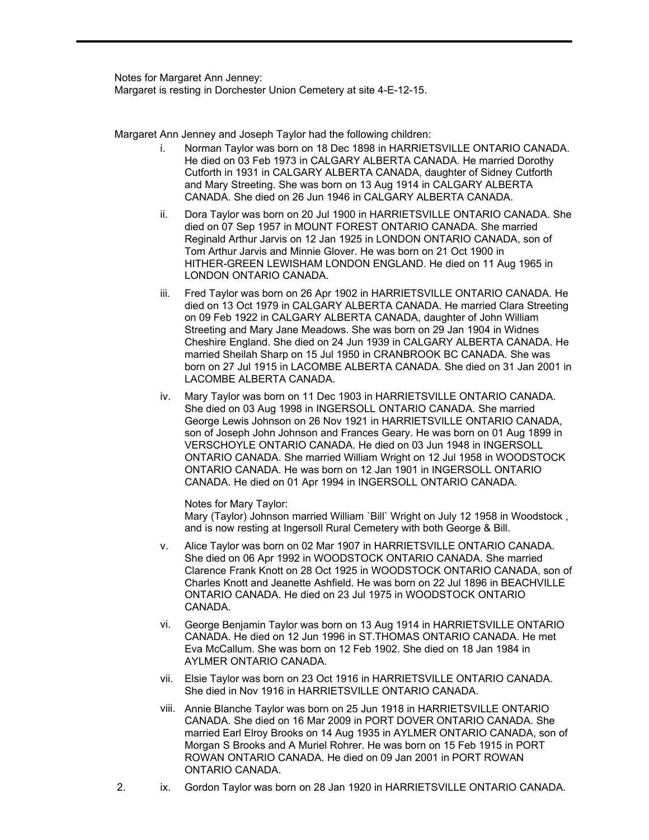Notes for Margaret Ann Jenney: Margaret is resting in Dorchester Union Cemetery at site 4-E-12-15.

Margaret Ann Jenney and Joseph Taylor had the following children:

- i. Norman Taylor was born on 18 Dec 1898 in HARRIETSVILLE ONTARIO CANADA. He died on 03 Feb 1973 in CALGARY ALBERTA CANADA. He married Dorothy Cutforth in 1931 in CALGARY ALBERTA CANADA, daughter of Sidney Cutforth and Mary Streeting. She was born on 13 Aug 1914 in CALGARY ALBERTA CANADA. She died on 26 Jun 1946 in CALGARY ALBERTA CANADA.
- ii. Dora Taylor was born on 20 Jul 1900 in HARRIETSVILLE ONTARIO CANADA. She died on 07 Sep 1957 in MOUNT FOREST ONTARIO CANADA. She married Reginald Arthur Jarvis on 12 Jan 1925 in LONDON ONTARIO CANADA, son of Tom Arthur Jarvis and Minnie Glover. He was born on 21 Oct 1900 in HITHER-GREEN LEWISHAM LONDON ENGLAND. He died on 11 Aug 1965 in LONDON ONTARIO CANADA.
- iii. Fred Taylor was born on 26 Apr 1902 in HARRIETSVILLE ONTARIO CANADA. He died on 13 Oct 1979 in CALGARY ALBERTA CANADA. He married Clara Streeting on 09 Feb 1922 in CALGARY ALBERTA CANADA, daughter of John William Streeting and Mary Jane Meadows. She was born on 29 Jan 1904 in Widnes Cheshire England. She died on 24 Jun 1939 in CALGARY ALBERTA CANADA. He married Sheilah Sharp on 15 Jul 1950 in CRANBROOK BC CANADA. She was born on 27 Jul 1915 in LACOMBE ALBERTA CANADA. She died on 31 Jan 2001 in LACOMBE ALBERTA CANADA.
- iv. Mary Taylor was born on 11 Dec 1903 in HARRIETSVILLE ONTARIO CANADA. She died on 03 Aug 1998 in INGERSOLL ONTARIO CANADA. She married George Lewis Johnson on 26 Nov 1921 in HARRIETSVILLE ONTARIO CANADA, son of Joseph John Johnson and Frances Geary. He was born on 01 Aug 1899 in VERSCHOYLE ONTARIO CANADA. He died on 03 Jun 1948 in INGERSOLL ONTARIO CANADA. She married William Wright on 12 Jul 1958 in WOODSTOCK ONTARIO CANADA. He was born on 12 Jan 1901 in INGERSOLL ONTARIO CANADA. He died on 01 Apr 1994 in INGERSOLL ONTARIO CANADA.

Notes for Mary Taylor:

Mary (Taylor) Johnson married William `Bill` Wright on July 12 1958 in Woodstock , and is now resting at Ingersoll Rural Cemetery with both George & Bill.

- v. Alice Taylor was born on 02 Mar 1907 in HARRIETSVILLE ONTARIO CANADA. She died on 06 Apr 1992 in WOODSTOCK ONTARIO CANADA. She married Clarence Frank Knott on 28 Oct 1925 in WOODSTOCK ONTARIO CANADA, son of Charles Knott and Jeanette Ashfield. He was born on 22 Jul 1896 in BEACHVILLE ONTARIO CANADA. He died on 23 Jul 1975 in WOODSTOCK ONTARIO CANADA.
- vi. George Benjamin Taylor was born on 13 Aug 1914 in HARRIETSVILLE ONTARIO CANADA. He died on 12 Jun 1996 in ST.THOMAS ONTARIO CANADA. He met Eva McCallum. She was born on 12 Feb 1902. She died on 18 Jan 1984 in AYLMER ONTARIO CANADA.
- vii. Elsie Taylor was born on 23 Oct 1916 in HARRIETSVILLE ONTARIO CANADA. She died in Nov 1916 in HARRIETSVILLE ONTARIO CANADA.
- viii. Annie Blanche Taylor was born on 25 Jun 1918 in HARRIETSVILLE ONTARIO CANADA. She died on 16 Mar 2009 in PORT DOVER ONTARIO CANADA. She married Earl Elroy Brooks on 14 Aug 1935 in AYLMER ONTARIO CANADA, son of Morgan S Brooks and A Muriel Rohrer. He was born on 15 Feb 1915 in PORT ROWAN ONTARIO CANADA. He died on 09 Jan 2001 in PORT ROWAN ONTARIO CANADA.
- 2. ix. Gordon Taylor was born on 28 Jan 1920 in HARRIETSVILLE ONTARIO CANADA.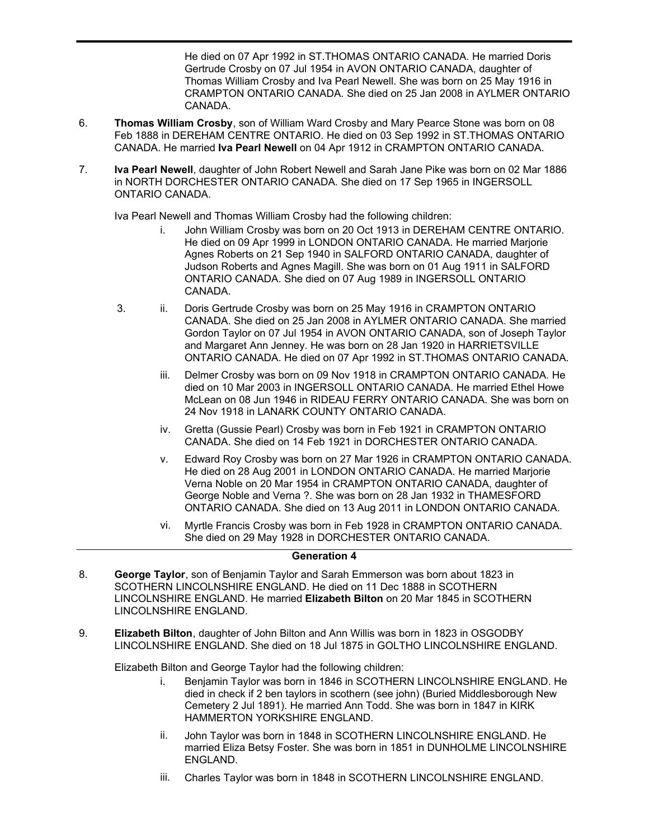He died on 07 Apr 1992 in ST.THOMAS ONTARIO CANADA. He married Doris Gertrude Crosby on 07 Jul 1954 in AVON ONTARIO CANADA, daughter of Thomas William Crosby and Iva Pearl Newell. She was born on 25 May 1916 in CRAMPTON ONTARIO CANADA. She died on 25 Jan 2008 in AYLMER ONTARIO CANADA.

- **Thomas William Crosby**, son of William Ward Crosby and Mary Pearce Stone was born on 08 Feb 1888 in DEREHAM CENTRE ONTARIO. He died on 03 Sep 1992 in ST.THOMAS ONTARIO CANADA. He married **Iva Pearl Newell** on 04 Apr 1912 in CRAMPTON ONTARIO CANADA. 6.
- **Iva Pearl Newell**, daughter of John Robert Newell and Sarah Jane Pike was born on 02 Mar 1886 in NORTH DORCHESTER ONTARIO CANADA. She died on 17 Sep 1965 in INGERSOLL ONTARIO CANADA. 7.

Iva Pearl Newell and Thomas William Crosby had the following children:

2. ix.

- i. John William Crosby was born on 20 Oct 1913 in DEREHAM CENTRE ONTARIO. He died on 09 Apr 1999 in LONDON ONTARIO CANADA. He married Marjorie Agnes Roberts on 21 Sep 1940 in SALFORD ONTARIO CANADA, daughter of Judson Roberts and Agnes Magill. She was born on 01 Aug 1911 in SALFORD ONTARIO CANADA. She died on 07 Aug 1989 in INGERSOLL ONTARIO CANADA.
- 3. ii. Doris Gertrude Crosby was born on 25 May 1916 in CRAMPTON ONTARIO CANADA. She died on 25 Jan 2008 in AYLMER ONTARIO CANADA. She married Gordon Taylor on 07 Jul 1954 in AVON ONTARIO CANADA, son of Joseph Taylor and Margaret Ann Jenney. He was born on 28 Jan 1920 in HARRIETSVILLE ONTARIO CANADA. He died on 07 Apr 1992 in ST.THOMAS ONTARIO CANADA.
	- iii. Delmer Crosby was born on 09 Nov 1918 in CRAMPTON ONTARIO CANADA. He died on 10 Mar 2003 in INGERSOLL ONTARIO CANADA. He married Ethel Howe McLean on 08 Jun 1946 in RIDEAU FERRY ONTARIO CANADA. She was born on 24 Nov 1918 in LANARK COUNTY ONTARIO CANADA.
	- iv. Gretta (Gussie Pearl) Crosby was born in Feb 1921 in CRAMPTON ONTARIO CANADA. She died on 14 Feb 1921 in DORCHESTER ONTARIO CANADA.
	- v. Edward Roy Crosby was born on 27 Mar 1926 in CRAMPTON ONTARIO CANADA. He died on 28 Aug 2001 in LONDON ONTARIO CANADA. He married Marjorie Verna Noble on 20 Mar 1954 in CRAMPTON ONTARIO CANADA, daughter of George Noble and Verna ?. She was born on 28 Jan 1932 in THAMESFORD ONTARIO CANADA. She died on 13 Aug 2011 in LONDON ONTARIO CANADA.
	- vi. Myrtle Francis Crosby was born in Feb 1928 in CRAMPTON ONTARIO CANADA. She died on 29 May 1928 in DORCHESTER ONTARIO CANADA.

# **Generation 4**

- **George Taylor**, son of Benjamin Taylor and Sarah Emmerson was born about 1823 in SCOTHERN LINCOLNSHIRE ENGLAND. He died on 11 Dec 1888 in SCOTHERN LINCOLNSHIRE ENGLAND. He married **Elizabeth Bilton** on 20 Mar 1845 in SCOTHERN LINCOLNSHIRE ENGLAND. 8.
- **Elizabeth Bilton**, daughter of John Bilton and Ann Willis was born in 1823 in OSGODBY LINCOLNSHIRE ENGLAND. She died on 18 Jul 1875 in GOLTHO LINCOLNSHIRE ENGLAND. 9.

Elizabeth Bilton and George Taylor had the following children:

- i. Benjamin Taylor was born in 1846 in SCOTHERN LINCOLNSHIRE ENGLAND. He died in check if 2 ben taylors in scothern (see john) (Buried Middlesborough New Cemetery 2 Jul 1891). He married Ann Todd. She was born in 1847 in KIRK HAMMERTON YORKSHIRE ENGLAND.
- ii. John Taylor was born in 1848 in SCOTHERN LINCOLNSHIRE ENGLAND. He married Eliza Betsy Foster. She was born in 1851 in DUNHOLME LINCOLNSHIRE ENGLAND.
- iii. Charles Taylor was born in 1848 in SCOTHERN LINCOLNSHIRE ENGLAND.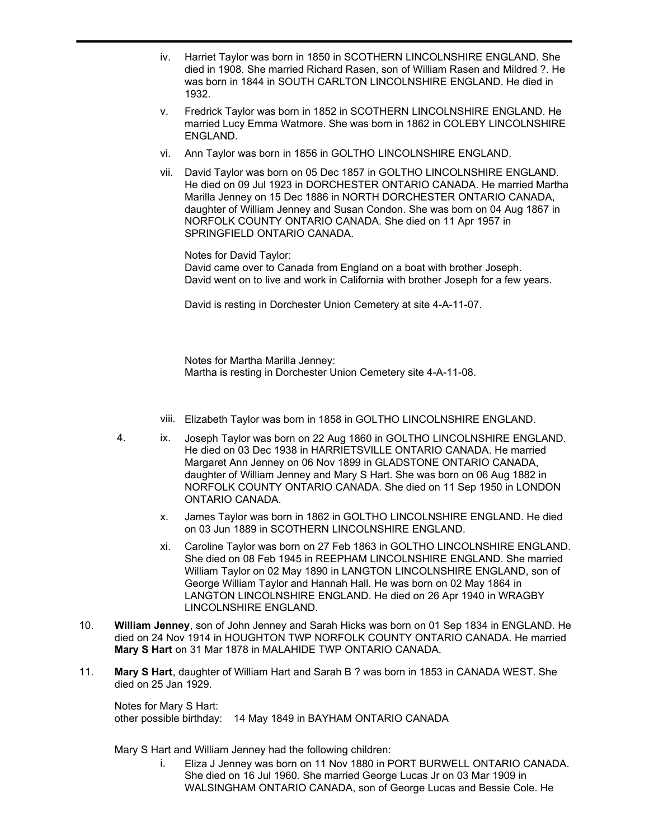- iv. Harriet Taylor was born in 1850 in SCOTHERN LINCOLNSHIRE ENGLAND. She died in 1908. She married Richard Rasen, son of William Rasen and Mildred ?. He was born in 1844 in SOUTH CARLTON LINCOLNSHIRE ENGLAND. He died in 1932.
- v. Fredrick Taylor was born in 1852 in SCOTHERN LINCOLNSHIRE ENGLAND. He married Lucy Emma Watmore. She was born in 1862 in COLEBY LINCOLNSHIRE ENGLAND.
- vi. Ann Taylor was born in 1856 in GOLTHO LINCOLNSHIRE ENGLAND.
- vii. David Taylor was born on 05 Dec 1857 in GOLTHO LINCOLNSHIRE ENGLAND. He died on 09 Jul 1923 in DORCHESTER ONTARIO CANADA. He married Martha Marilla Jenney on 15 Dec 1886 in NORTH DORCHESTER ONTARIO CANADA, daughter of William Jenney and Susan Condon. She was born on 04 Aug 1867 in NORFOLK COUNTY ONTARIO CANADA. She died on 11 Apr 1957 in SPRINGFIELD ONTARIO CANADA.

Notes for David Taylor: David came over to Canada from England on a boat with brother Joseph. David went on to live and work in California with brother Joseph for a few years.

David is resting in Dorchester Union Cemetery at site 4-A-11-07.

Notes for Martha Marilla Jenney: Martha is resting in Dorchester Union Cemetery site 4-A-11-08.

- viii. Elizabeth Taylor was born in 1858 in GOLTHO LINCOLNSHIRE ENGLAND.
- 4. ix. Joseph Taylor was born on 22 Aug 1860 in GOLTHO LINCOLNSHIRE ENGLAND. He died on 03 Dec 1938 in HARRIETSVILLE ONTARIO CANADA. He married Margaret Ann Jenney on 06 Nov 1899 in GLADSTONE ONTARIO CANADA, daughter of William Jenney and Mary S Hart. She was born on 06 Aug 1882 in NORFOLK COUNTY ONTARIO CANADA. She died on 11 Sep 1950 in LONDON ONTARIO CANADA.
	- x. James Taylor was born in 1862 in GOLTHO LINCOLNSHIRE ENGLAND. He died on 03 Jun 1889 in SCOTHERN LINCOLNSHIRE ENGLAND.
	- xi. Caroline Taylor was born on 27 Feb 1863 in GOLTHO LINCOLNSHIRE ENGLAND. She died on 08 Feb 1945 in REEPHAM LINCOLNSHIRE ENGLAND. She married William Taylor on 02 May 1890 in LANGTON LINCOLNSHIRE ENGLAND, son of George William Taylor and Hannah Hall. He was born on 02 May 1864 in LANGTON LINCOLNSHIRE ENGLAND. He died on 26 Apr 1940 in WRAGBY LINCOLNSHIRE ENGLAND.
- **William Jenney**, son of John Jenney and Sarah Hicks was born on 01 Sep 1834 in ENGLAND. He died on 24 Nov 1914 in HOUGHTON TWP NORFOLK COUNTY ONTARIO CANADA. He married **Mary S Hart** on 31 Mar 1878 in MALAHIDE TWP ONTARIO CANADA. 10.
- **Mary S Hart**, daughter of William Hart and Sarah B ? was born in 1853 in CANADA WEST. She died on 25 Jan 1929. 11.

Notes for Mary S Hart: other possible birthday: 14 May 1849 in BAYHAM ONTARIO CANADA

Mary S Hart and William Jenney had the following children:

i. Eliza J Jenney was born on 11 Nov 1880 in PORT BURWELL ONTARIO CANADA. She died on 16 Jul 1960. She married George Lucas Jr on 03 Mar 1909 in WALSINGHAM ONTARIO CANADA, son of George Lucas and Bessie Cole. He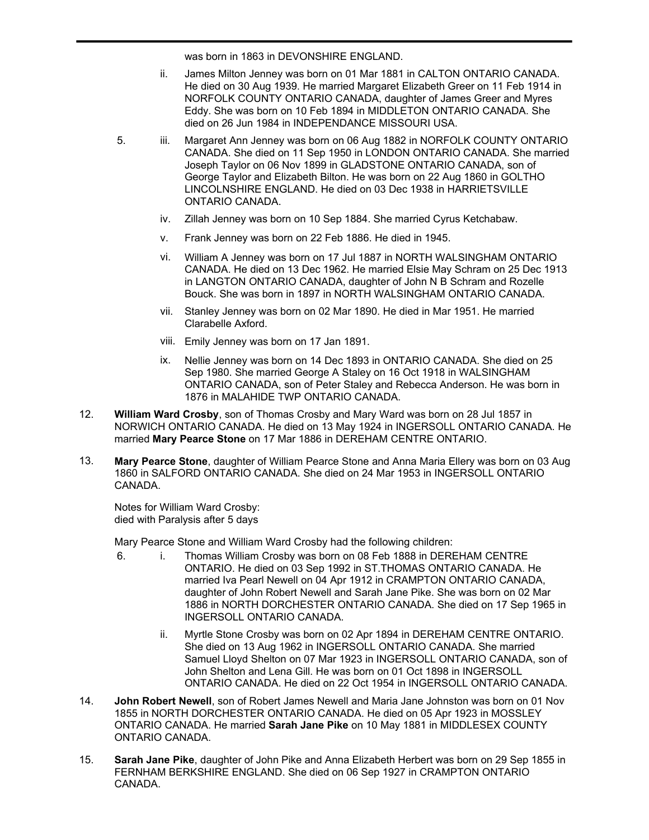was born in 1863 in DEVONSHIRE ENGLAND.

- ii. James Milton Jenney was born on 01 Mar 1881 in CALTON ONTARIO CANADA. He died on 30 Aug 1939. He married Margaret Elizabeth Greer on 11 Feb 1914 in NORFOLK COUNTY ONTARIO CANADA, daughter of James Greer and Myres Eddy. She was born on 10 Feb 1894 in MIDDLETON ONTARIO CANADA. She died on 26 Jun 1984 in INDEPENDANCE MISSOURI USA.
- 5. iii. Margaret Ann Jenney was born on 06 Aug 1882 in NORFOLK COUNTY ONTARIO CANADA. She died on 11 Sep 1950 in LONDON ONTARIO CANADA. She married Joseph Taylor on 06 Nov 1899 in GLADSTONE ONTARIO CANADA, son of George Taylor and Elizabeth Bilton. He was born on 22 Aug 1860 in GOLTHO LINCOLNSHIRE ENGLAND. He died on 03 Dec 1938 in HARRIETSVILLE ONTARIO CANADA.
	- iv. Zillah Jenney was born on 10 Sep 1884. She married Cyrus Ketchabaw.
	- v. Frank Jenney was born on 22 Feb 1886. He died in 1945.
	- vi. William A Jenney was born on 17 Jul 1887 in NORTH WALSINGHAM ONTARIO CANADA. He died on 13 Dec 1962. He married Elsie May Schram on 25 Dec 1913 in LANGTON ONTARIO CANADA, daughter of John N B Schram and Rozelle Bouck. She was born in 1897 in NORTH WALSINGHAM ONTARIO CANADA.
	- vii. Stanley Jenney was born on 02 Mar 1890. He died in Mar 1951. He married Clarabelle Axford.
	- viii. Emily Jenney was born on 17 Jan 1891.
	- ix. Nellie Jenney was born on 14 Dec 1893 in ONTARIO CANADA. She died on 25 Sep 1980. She married George A Staley on 16 Oct 1918 in WALSINGHAM ONTARIO CANADA, son of Peter Staley and Rebecca Anderson. He was born in 1876 in MALAHIDE TWP ONTARIO CANADA.
- **William Ward Crosby**, son of Thomas Crosby and Mary Ward was born on 28 Jul 1857 in NORWICH ONTARIO CANADA. He died on 13 May 1924 in INGERSOLL ONTARIO CANADA. He married **Mary Pearce Stone** on 17 Mar 1886 in DEREHAM CENTRE ONTARIO. 12.
- **Mary Pearce Stone**, daughter of William Pearce Stone and Anna Maria Ellery was born on 03 Aug 1860 in SALFORD ONTARIO CANADA. She died on 24 Mar 1953 in INGERSOLL ONTARIO CANADA. 13.

Notes for William Ward Crosby: died with Paralysis after 5 days

Mary Pearce Stone and William Ward Crosby had the following children:

- 6. i. Thomas William Crosby was born on 08 Feb 1888 in DEREHAM CENTRE ONTARIO. He died on 03 Sep 1992 in ST.THOMAS ONTARIO CANADA. He married Iva Pearl Newell on 04 Apr 1912 in CRAMPTON ONTARIO CANADA, daughter of John Robert Newell and Sarah Jane Pike. She was born on 02 Mar 1886 in NORTH DORCHESTER ONTARIO CANADA. She died on 17 Sep 1965 in INGERSOLL ONTARIO CANADA.
	- ii. Myrtle Stone Crosby was born on 02 Apr 1894 in DEREHAM CENTRE ONTARIO. She died on 13 Aug 1962 in INGERSOLL ONTARIO CANADA. She married Samuel Lloyd Shelton on 07 Mar 1923 in INGERSOLL ONTARIO CANADA, son of John Shelton and Lena Gill. He was born on 01 Oct 1898 in INGERSOLL ONTARIO CANADA. He died on 22 Oct 1954 in INGERSOLL ONTARIO CANADA.
- **John Robert Newell**, son of Robert James Newell and Maria Jane Johnston was born on 01 Nov 1855 in NORTH DORCHESTER ONTARIO CANADA. He died on 05 Apr 1923 in MOSSLEY ONTARIO CANADA. He married **Sarah Jane Pike** on 10 May 1881 in MIDDLESEX COUNTY ONTARIO CANADA. 14.
- **Sarah Jane Pike**, daughter of John Pike and Anna Elizabeth Herbert was born on 29 Sep 1855 in FERNHAM BERKSHIRE ENGLAND. She died on 06 Sep 1927 in CRAMPTON ONTARIO CANADA. 15.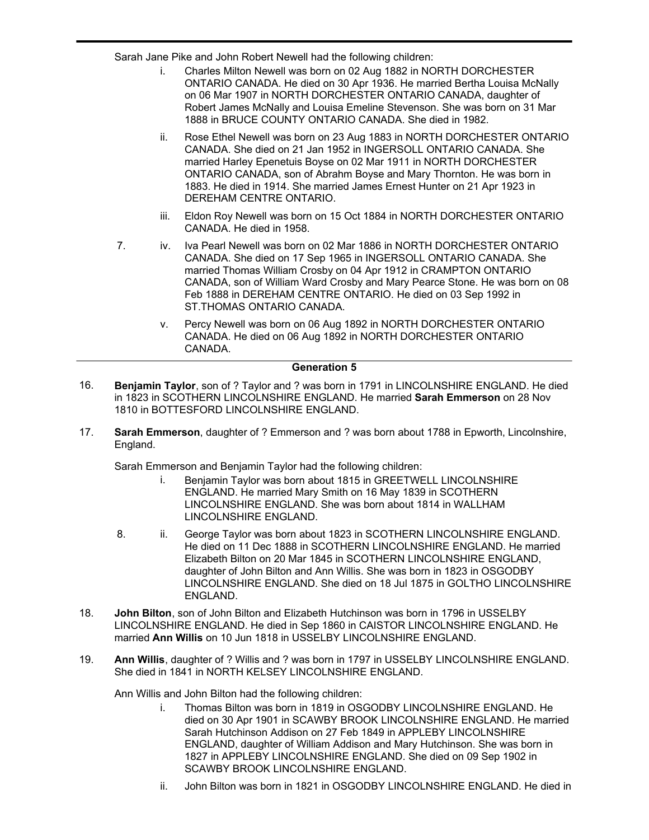Sarah Jane Pike and John Robert Newell had the following children:

- i. Charles Milton Newell was born on 02 Aug 1882 in NORTH DORCHESTER ONTARIO CANADA. He died on 30 Apr 1936. He married Bertha Louisa McNally on 06 Mar 1907 in NORTH DORCHESTER ONTARIO CANADA, daughter of Robert James McNally and Louisa Emeline Stevenson. She was born on 31 Mar 1888 in BRUCE COUNTY ONTARIO CANADA. She died in 1982.
- ii. Rose Ethel Newell was born on 23 Aug 1883 in NORTH DORCHESTER ONTARIO CANADA. She died on 21 Jan 1952 in INGERSOLL ONTARIO CANADA. She married Harley Epenetuis Boyse on 02 Mar 1911 in NORTH DORCHESTER ONTARIO CANADA, son of Abrahm Boyse and Mary Thornton. He was born in 1883. He died in 1914. She married James Ernest Hunter on 21 Apr 1923 in DEREHAM CENTRE ONTARIO.
- iii. Eldon Roy Newell was born on 15 Oct 1884 in NORTH DORCHESTER ONTARIO CANADA. He died in 1958.
- 7. iv. Iva Pearl Newell was born on 02 Mar 1886 in NORTH DORCHESTER ONTARIO CANADA. She died on 17 Sep 1965 in INGERSOLL ONTARIO CANADA. She married Thomas William Crosby on 04 Apr 1912 in CRAMPTON ONTARIO CANADA, son of William Ward Crosby and Mary Pearce Stone. He was born on 08 Feb 1888 in DEREHAM CENTRE ONTARIO. He died on 03 Sep 1992 in ST.THOMAS ONTARIO CANADA.
	- v. Percy Newell was born on 06 Aug 1892 in NORTH DORCHESTER ONTARIO CANADA. He died on 06 Aug 1892 in NORTH DORCHESTER ONTARIO CANADA.

### **Generation 5**

- **Benjamin Taylor**, son of ? Taylor and ? was born in 1791 in LINCOLNSHIRE ENGLAND. He died in 1823 in SCOTHERN LINCOLNSHIRE ENGLAND. He married **Sarah Emmerson** on 28 Nov 1810 in BOTTESFORD LINCOLNSHIRE ENGLAND. 16.
- **Sarah Emmerson**, daughter of ? Emmerson and ? was born about 1788 in Epworth, Lincolnshire, England. 17.

Sarah Emmerson and Benjamin Taylor had the following children:

- i. Benjamin Taylor was born about 1815 in GREETWELL LINCOLNSHIRE ENGLAND. He married Mary Smith on 16 May 1839 in SCOTHERN LINCOLNSHIRE ENGLAND. She was born about 1814 in WALLHAM LINCOLNSHIRE ENGLAND.
- 8. ii. George Taylor was born about 1823 in SCOTHERN LINCOLNSHIRE ENGLAND. He died on 11 Dec 1888 in SCOTHERN LINCOLNSHIRE ENGLAND. He married Elizabeth Bilton on 20 Mar 1845 in SCOTHERN LINCOLNSHIRE ENGLAND, daughter of John Bilton and Ann Willis. She was born in 1823 in OSGODBY LINCOLNSHIRE ENGLAND. She died on 18 Jul 1875 in GOLTHO LINCOLNSHIRE ENGLAND.
- **John Bilton**, son of John Bilton and Elizabeth Hutchinson was born in 1796 in USSELBY LINCOLNSHIRE ENGLAND. He died in Sep 1860 in CAISTOR LINCOLNSHIRE ENGLAND. He married **Ann Willis** on 10 Jun 1818 in USSELBY LINCOLNSHIRE ENGLAND. 18.
- **Ann Willis**, daughter of ? Willis and ? was born in 1797 in USSELBY LINCOLNSHIRE ENGLAND. She died in 1841 in NORTH KELSEY LINCOLNSHIRE ENGLAND. 19.

Ann Willis and John Bilton had the following children:

- i. Thomas Bilton was born in 1819 in OSGODBY LINCOLNSHIRE ENGLAND. He died on 30 Apr 1901 in SCAWBY BROOK LINCOLNSHIRE ENGLAND. He married Sarah Hutchinson Addison on 27 Feb 1849 in APPLEBY LINCOLNSHIRE ENGLAND, daughter of William Addison and Mary Hutchinson. She was born in 1827 in APPLEBY LINCOLNSHIRE ENGLAND. She died on 09 Sep 1902 in SCAWBY BROOK LINCOLNSHIRE ENGLAND.
- ii. John Bilton was born in 1821 in OSGODBY LINCOLNSHIRE ENGLAND. He died in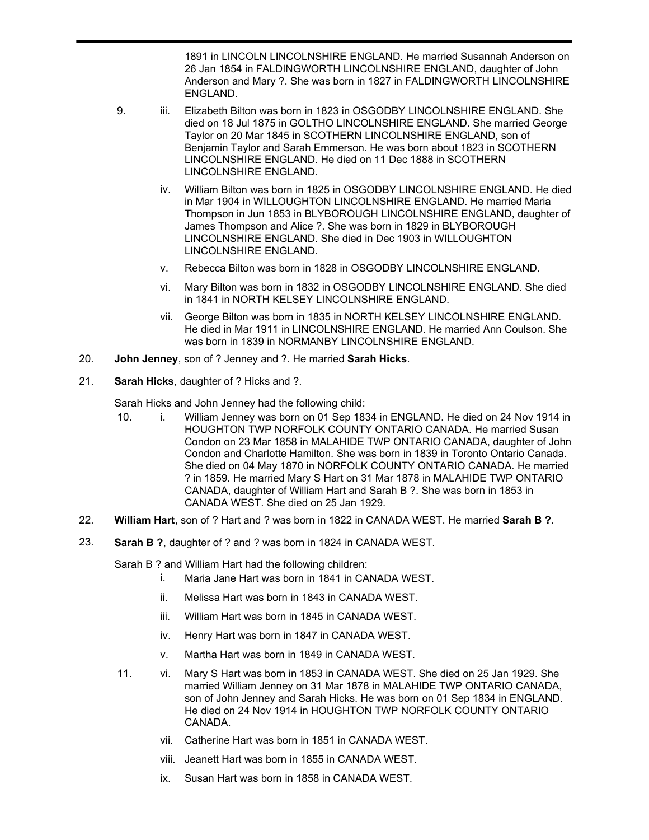1891 in LINCOLN LINCOLNSHIRE ENGLAND. He married Susannah Anderson on 26 Jan 1854 in FALDINGWORTH LINCOLNSHIRE ENGLAND, daughter of John Anderson and Mary ?. She was born in 1827 in FALDINGWORTH LINCOLNSHIRE ENGLAND.

- 9. iii. Elizabeth Bilton was born in 1823 in OSGODBY LINCOLNSHIRE ENGLAND. She died on 18 Jul 1875 in GOLTHO LINCOLNSHIRE ENGLAND. She married George Taylor on 20 Mar 1845 in SCOTHERN LINCOLNSHIRE ENGLAND, son of Benjamin Taylor and Sarah Emmerson. He was born about 1823 in SCOTHERN LINCOLNSHIRE ENGLAND. He died on 11 Dec 1888 in SCOTHERN LINCOLNSHIRE ENGLAND.
	- iv. William Bilton was born in 1825 in OSGODBY LINCOLNSHIRE ENGLAND. He died in Mar 1904 in WILLOUGHTON LINCOLNSHIRE ENGLAND. He married Maria Thompson in Jun 1853 in BLYBOROUGH LINCOLNSHIRE ENGLAND, daughter of James Thompson and Alice ?. She was born in 1829 in BLYBOROUGH LINCOLNSHIRE ENGLAND. She died in Dec 1903 in WILLOUGHTON LINCOLNSHIRE ENGLAND.
	- v. Rebecca Bilton was born in 1828 in OSGODBY LINCOLNSHIRE ENGLAND.
	- vi. Mary Bilton was born in 1832 in OSGODBY LINCOLNSHIRE ENGLAND. She died in 1841 in NORTH KELSEY LINCOLNSHIRE ENGLAND.
	- vii. George Bilton was born in 1835 in NORTH KELSEY LINCOLNSHIRE ENGLAND. He died in Mar 1911 in LINCOLNSHIRE ENGLAND. He married Ann Coulson. She was born in 1839 in NORMANBY LINCOLNSHIRE ENGLAND.
- 20. **John Jenney**, son of ? Jenney and ?. He married **Sarah Hicks**.
- 21. **Sarah Hicks**, daughter of ? Hicks and ?.

ii.

Sarah Hicks and John Jenney had the following child:

- 10. i. William Jenney was born on 01 Sep 1834 in ENGLAND. He died on 24 Nov 1914 in HOUGHTON TWP NORFOLK COUNTY ONTARIO CANADA. He married Susan Condon on 23 Mar 1858 in MALAHIDE TWP ONTARIO CANADA, daughter of John Condon and Charlotte Hamilton. She was born in 1839 in Toronto Ontario Canada. She died on 04 May 1870 in NORFOLK COUNTY ONTARIO CANADA. He married ? in 1859. He married Mary S Hart on 31 Mar 1878 in MALAHIDE TWP ONTARIO CANADA, daughter of William Hart and Sarah B ?. She was born in 1853 in CANADA WEST. She died on 25 Jan 1929.
- 22. **William Hart**, son of ? Hart and ? was born in 1822 in CANADA WEST. He married **Sarah B ?**.
- 23. **Sarah B ?**, daughter of ? and ? was born in 1824 in CANADA WEST.

Sarah B ? and William Hart had the following children:

- i. Maria Jane Hart was born in 1841 in CANADA WEST.
- ii. Melissa Hart was born in 1843 in CANADA WEST.
- iii. William Hart was born in 1845 in CANADA WEST.
- iv. Henry Hart was born in 1847 in CANADA WEST.
- v. Martha Hart was born in 1849 in CANADA WEST.
- 11. vi. Mary S Hart was born in 1853 in CANADA WEST. She died on 25 Jan 1929. She married William Jenney on 31 Mar 1878 in MALAHIDE TWP ONTARIO CANADA, son of John Jenney and Sarah Hicks. He was born on 01 Sep 1834 in ENGLAND. He died on 24 Nov 1914 in HOUGHTON TWP NORFOLK COUNTY ONTARIO CANADA.
	- vii. Catherine Hart was born in 1851 in CANADA WEST.
	- viii. Jeanett Hart was born in 1855 in CANADA WEST.
	- ix. Susan Hart was born in 1858 in CANADA WEST.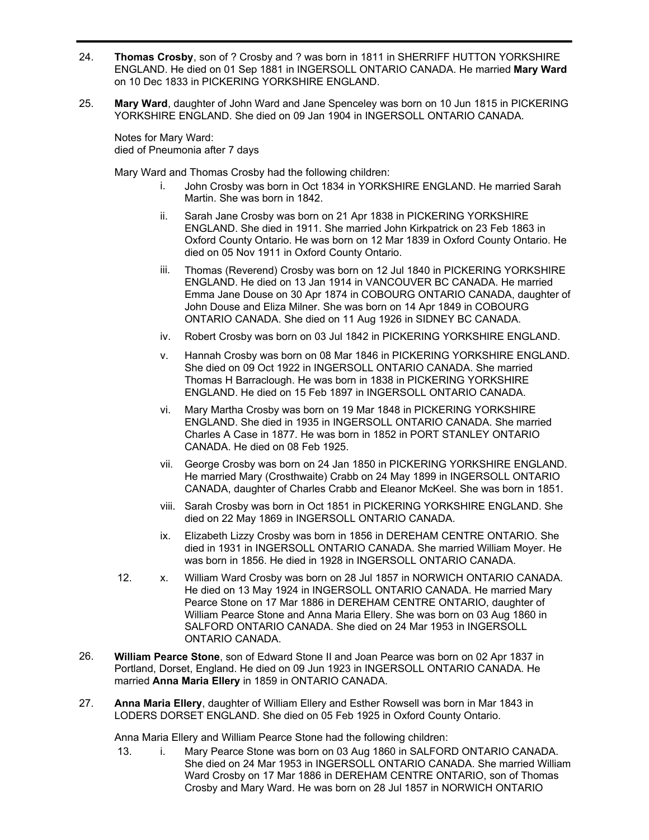- **Thomas Crosby**, son of ? Crosby and ? was born in 1811 in SHERRIFF HUTTON YORKSHIRE ENGLAND. He died on 01 Sep 1881 in INGERSOLL ONTARIO CANADA. He married **Mary Ward** on 10 Dec 1833 in PICKERING YORKSHIRE ENGLAND. 24.
- **Mary Ward**, daughter of John Ward and Jane Spenceley was born on 10 Jun 1815 in PICKERING YORKSHIRE ENGLAND. She died on 09 Jan 1904 in INGERSOLL ONTARIO CANADA. 25.

Notes for Mary Ward: died of Pneumonia after 7 days

Mary Ward and Thomas Crosby had the following children:

- i. John Crosby was born in Oct 1834 in YORKSHIRE ENGLAND. He married Sarah Martin. She was born in 1842.
- ii. Sarah Jane Crosby was born on 21 Apr 1838 in PICKERING YORKSHIRE ENGLAND. She died in 1911. She married John Kirkpatrick on 23 Feb 1863 in Oxford County Ontario. He was born on 12 Mar 1839 in Oxford County Ontario. He died on 05 Nov 1911 in Oxford County Ontario.
- iii. Thomas (Reverend) Crosby was born on 12 Jul 1840 in PICKERING YORKSHIRE ENGLAND. He died on 13 Jan 1914 in VANCOUVER BC CANADA. He married Emma Jane Douse on 30 Apr 1874 in COBOURG ONTARIO CANADA, daughter of John Douse and Eliza Milner. She was born on 14 Apr 1849 in COBOURG ONTARIO CANADA. She died on 11 Aug 1926 in SIDNEY BC CANADA.
- iv. Robert Crosby was born on 03 Jul 1842 in PICKERING YORKSHIRE ENGLAND.
- v. Hannah Crosby was born on 08 Mar 1846 in PICKERING YORKSHIRE ENGLAND. She died on 09 Oct 1922 in INGERSOLL ONTARIO CANADA. She married Thomas H Barraclough. He was born in 1838 in PICKERING YORKSHIRE ENGLAND. He died on 15 Feb 1897 in INGERSOLL ONTARIO CANADA.
- vi. Mary Martha Crosby was born on 19 Mar 1848 in PICKERING YORKSHIRE ENGLAND. She died in 1935 in INGERSOLL ONTARIO CANADA. She married Charles A Case in 1877. He was born in 1852 in PORT STANLEY ONTARIO CANADA. He died on 08 Feb 1925.
- vii. George Crosby was born on 24 Jan 1850 in PICKERING YORKSHIRE ENGLAND. He married Mary (Crosthwaite) Crabb on 24 May 1899 in INGERSOLL ONTARIO CANADA, daughter of Charles Crabb and Eleanor McKeel. She was born in 1851.
- viii. Sarah Crosby was born in Oct 1851 in PICKERING YORKSHIRE ENGLAND. She died on 22 May 1869 in INGERSOLL ONTARIO CANADA.
- ix. Elizabeth Lizzy Crosby was born in 1856 in DEREHAM CENTRE ONTARIO. She died in 1931 in INGERSOLL ONTARIO CANADA. She married William Moyer. He was born in 1856. He died in 1928 in INGERSOLL ONTARIO CANADA.
- 12. x. William Ward Crosby was born on 28 Jul 1857 in NORWICH ONTARIO CANADA. He died on 13 May 1924 in INGERSOLL ONTARIO CANADA. He married Mary Pearce Stone on 17 Mar 1886 in DEREHAM CENTRE ONTARIO, daughter of William Pearce Stone and Anna Maria Ellery. She was born on 03 Aug 1860 in SALFORD ONTARIO CANADA. She died on 24 Mar 1953 in INGERSOLL ONTARIO CANADA.
- **William Pearce Stone**, son of Edward Stone II and Joan Pearce was born on 02 Apr 1837 in Portland, Dorset, England. He died on 09 Jun 1923 in INGERSOLL ONTARIO CANADA. He married **Anna Maria Ellery** in 1859 in ONTARIO CANADA. 26.
- **Anna Maria Ellery**, daughter of William Ellery and Esther Rowsell was born in Mar 1843 in LODERS DORSET ENGLAND. She died on 05 Feb 1925 in Oxford County Ontario. 27.

Anna Maria Ellery and William Pearce Stone had the following children:

13. i. Mary Pearce Stone was born on 03 Aug 1860 in SALFORD ONTARIO CANADA. She died on 24 Mar 1953 in INGERSOLL ONTARIO CANADA. She married William Ward Crosby on 17 Mar 1886 in DEREHAM CENTRE ONTARIO, son of Thomas Crosby and Mary Ward. He was born on 28 Jul 1857 in NORWICH ONTARIO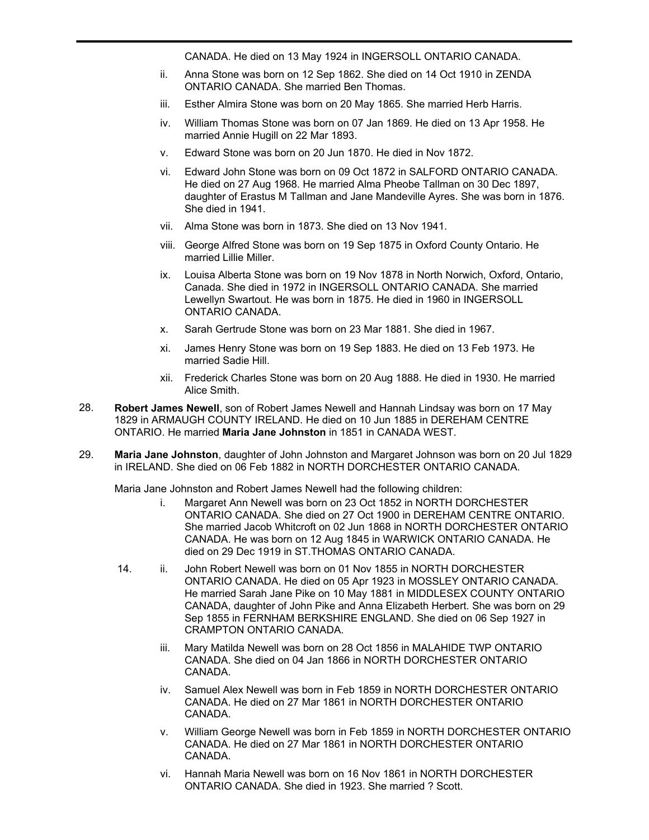CANADA. He died on 13 May 1924 in INGERSOLL ONTARIO CANADA.

- ii. Anna Stone was born on 12 Sep 1862. She died on 14 Oct 1910 in ZENDA ONTARIO CANADA. She married Ben Thomas.
- iii. Esther Almira Stone was born on 20 May 1865. She married Herb Harris.
- iv. William Thomas Stone was born on 07 Jan 1869. He died on 13 Apr 1958. He married Annie Hugill on 22 Mar 1893.
- v. Edward Stone was born on 20 Jun 1870. He died in Nov 1872.
- vi. Edward John Stone was born on 09 Oct 1872 in SALFORD ONTARIO CANADA. He died on 27 Aug 1968. He married Alma Pheobe Tallman on 30 Dec 1897, daughter of Erastus M Tallman and Jane Mandeville Ayres. She was born in 1876. She died in 1941.
- vii. Alma Stone was born in 1873. She died on 13 Nov 1941.
- viii. George Alfred Stone was born on 19 Sep 1875 in Oxford County Ontario. He married Lillie Miller.
- ix. Louisa Alberta Stone was born on 19 Nov 1878 in North Norwich, Oxford, Ontario, Canada. She died in 1972 in INGERSOLL ONTARIO CANADA. She married Lewellyn Swartout. He was born in 1875. He died in 1960 in INGERSOLL ONTARIO CANADA.
- x. Sarah Gertrude Stone was born on 23 Mar 1881. She died in 1967.
- xi. James Henry Stone was born on 19 Sep 1883. He died on 13 Feb 1973. He married Sadie Hill.
- xii. Frederick Charles Stone was born on 20 Aug 1888. He died in 1930. He married Alice Smith.
- **Robert James Newell**, son of Robert James Newell and Hannah Lindsay was born on 17 May 1829 in ARMAUGH COUNTY IRELAND. He died on 10 Jun 1885 in DEREHAM CENTRE ONTARIO. He married **Maria Jane Johnston** in 1851 in CANADA WEST. 28.
- **Maria Jane Johnston**, daughter of John Johnston and Margaret Johnson was born on 20 Jul 1829 in IRELAND. She died on 06 Feb 1882 in NORTH DORCHESTER ONTARIO CANADA. 29.

Maria Jane Johnston and Robert James Newell had the following children:

- i. Margaret Ann Newell was born on 23 Oct 1852 in NORTH DORCHESTER ONTARIO CANADA. She died on 27 Oct 1900 in DEREHAM CENTRE ONTARIO. She married Jacob Whitcroft on 02 Jun 1868 in NORTH DORCHESTER ONTARIO CANADA. He was born on 12 Aug 1845 in WARWICK ONTARIO CANADA. He died on 29 Dec 1919 in ST.THOMAS ONTARIO CANADA.
- 14. ii. John Robert Newell was born on 01 Nov 1855 in NORTH DORCHESTER ONTARIO CANADA. He died on 05 Apr 1923 in MOSSLEY ONTARIO CANADA. He married Sarah Jane Pike on 10 May 1881 in MIDDLESEX COUNTY ONTARIO CANADA, daughter of John Pike and Anna Elizabeth Herbert. She was born on 29 Sep 1855 in FERNHAM BERKSHIRE ENGLAND. She died on 06 Sep 1927 in CRAMPTON ONTARIO CANADA.
	- iii. Mary Matilda Newell was born on 28 Oct 1856 in MALAHIDE TWP ONTARIO CANADA. She died on 04 Jan 1866 in NORTH DORCHESTER ONTARIO CANADA.
	- iv. Samuel Alex Newell was born in Feb 1859 in NORTH DORCHESTER ONTARIO CANADA. He died on 27 Mar 1861 in NORTH DORCHESTER ONTARIO CANADA.
	- v. William George Newell was born in Feb 1859 in NORTH DORCHESTER ONTARIO CANADA. He died on 27 Mar 1861 in NORTH DORCHESTER ONTARIO CANADA.
	- vi. Hannah Maria Newell was born on 16 Nov 1861 in NORTH DORCHESTER ONTARIO CANADA. She died in 1923. She married ? Scott.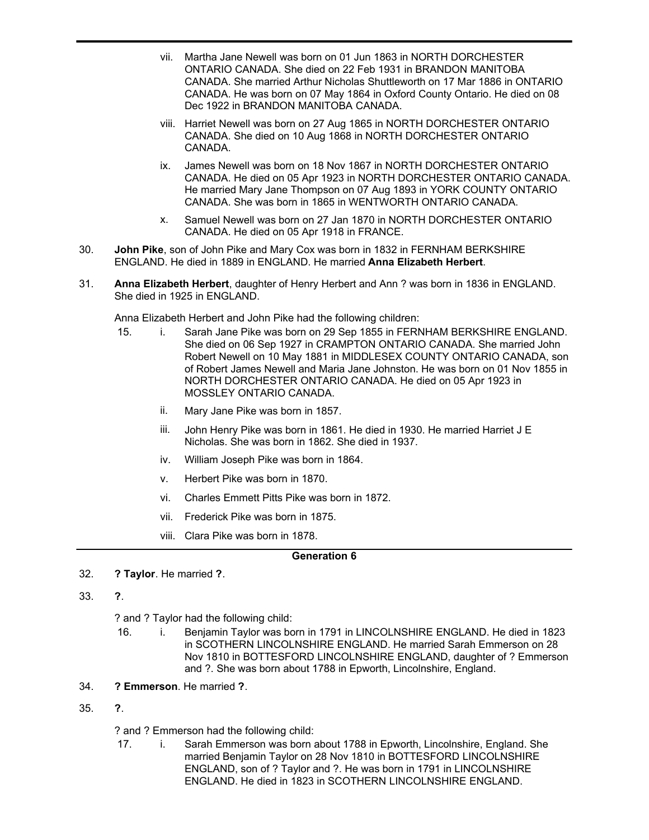- vii. Martha Jane Newell was born on 01 Jun 1863 in NORTH DORCHESTER ONTARIO CANADA. She died on 22 Feb 1931 in BRANDON MANITOBA CANADA. She married Arthur Nicholas Shuttleworth on 17 Mar 1886 in ONTARIO CANADA. He was born on 07 May 1864 in Oxford County Ontario. He died on 08 Dec 1922 in BRANDON MANITOBA CANADA.
- viii. Harriet Newell was born on 27 Aug 1865 in NORTH DORCHESTER ONTARIO CANADA. She died on 10 Aug 1868 in NORTH DORCHESTER ONTARIO CANADA.
- ix. James Newell was born on 18 Nov 1867 in NORTH DORCHESTER ONTARIO CANADA. He died on 05 Apr 1923 in NORTH DORCHESTER ONTARIO CANADA. He married Mary Jane Thompson on 07 Aug 1893 in YORK COUNTY ONTARIO CANADA. She was born in 1865 in WENTWORTH ONTARIO CANADA.
- x. Samuel Newell was born on 27 Jan 1870 in NORTH DORCHESTER ONTARIO CANADA. He died on 05 Apr 1918 in FRANCE.
- **John Pike**, son of John Pike and Mary Cox was born in 1832 in FERNHAM BERKSHIRE ENGLAND. He died in 1889 in ENGLAND. He married **Anna Elizabeth Herbert**. 30.
- **Anna Elizabeth Herbert**, daughter of Henry Herbert and Ann ? was born in 1836 in ENGLAND. She died in 1925 in ENGLAND. 31.

Anna Elizabeth Herbert and John Pike had the following children:

- 15. i. Sarah Jane Pike was born on 29 Sep 1855 in FERNHAM BERKSHIRE ENGLAND. She died on 06 Sep 1927 in CRAMPTON ONTARIO CANADA. She married John Robert Newell on 10 May 1881 in MIDDLESEX COUNTY ONTARIO CANADA, son of Robert James Newell and Maria Jane Johnston. He was born on 01 Nov 1855 in NORTH DORCHESTER ONTARIO CANADA. He died on 05 Apr 1923 in MOSSLEY ONTARIO CANADA.
	- ii. Mary Jane Pike was born in 1857.
	- iii. John Henry Pike was born in 1861. He died in 1930. He married Harriet J E Nicholas. She was born in 1862. She died in 1937.
	- iv. William Joseph Pike was born in 1864.
	- v. Herbert Pike was born in 1870.
	- vi. Charles Emmett Pitts Pike was born in 1872.
	- vii. Frederick Pike was born in 1875.
	- viii. Clara Pike was born in 1878.

# **Generation 6**

- 32. **? Taylor**. He married **?**.
- 33. **?**.

? and ? Taylor had the following child:

- 16. i. Benjamin Taylor was born in 1791 in LINCOLNSHIRE ENGLAND. He died in 1823 in SCOTHERN LINCOLNSHIRE ENGLAND. He married Sarah Emmerson on 28 Nov 1810 in BOTTESFORD LINCOLNSHIRE ENGLAND, daughter of ? Emmerson and ?. She was born about 1788 in Epworth, Lincolnshire, England.
- 34. **? Emmerson**. He married **?**.
- 35. **?**.

? and ? Emmerson had the following child:

17. i. Sarah Emmerson was born about 1788 in Epworth, Lincolnshire, England. She married Benjamin Taylor on 28 Nov 1810 in BOTTESFORD LINCOLNSHIRE ENGLAND, son of ? Taylor and ?. He was born in 1791 in LINCOLNSHIRE ENGLAND. He died in 1823 in SCOTHERN LINCOLNSHIRE ENGLAND.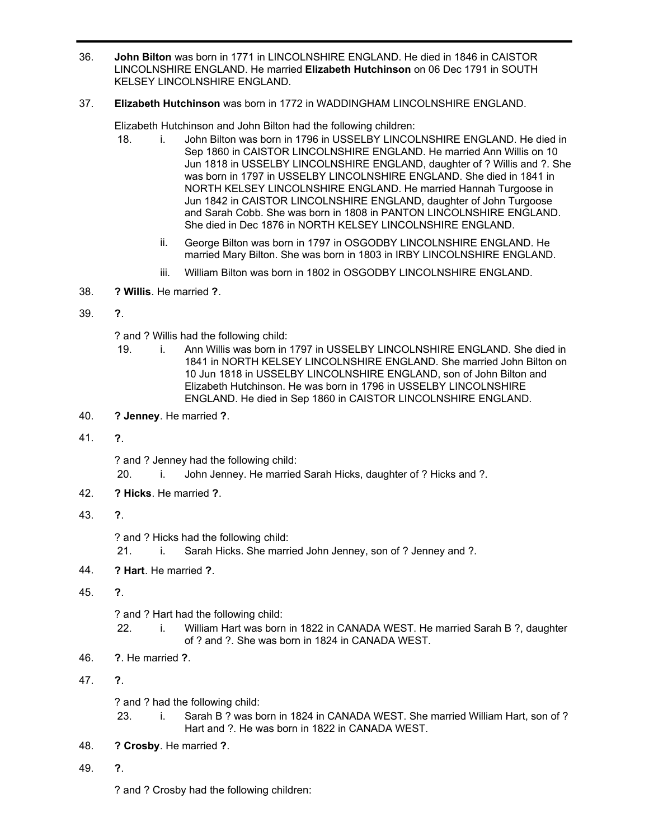**John Bilton** was born in 1771 in LINCOLNSHIRE ENGLAND. He died in 1846 in CAISTOR LINCOLNSHIRE ENGLAND. He married **Elizabeth Hutchinson** on 06 Dec 1791 in SOUTH KELSEY LINCOLNSHIRE ENGLAND. 36.

# 37. **Elizabeth Hutchinson** was born in 1772 in WADDINGHAM LINCOLNSHIRE ENGLAND.

Elizabeth Hutchinson and John Bilton had the following children:

- 18. i. John Bilton was born in 1796 in USSELBY LINCOLNSHIRE ENGLAND. He died in Sep 1860 in CAISTOR LINCOLNSHIRE ENGLAND. He married Ann Willis on 10 Jun 1818 in USSELBY LINCOLNSHIRE ENGLAND, daughter of ? Willis and ?. She was born in 1797 in USSELBY LINCOLNSHIRE ENGLAND. She died in 1841 in NORTH KELSEY LINCOLNSHIRE ENGLAND. He married Hannah Turgoose in Jun 1842 in CAISTOR LINCOLNSHIRE ENGLAND, daughter of John Turgoose and Sarah Cobb. She was born in 1808 in PANTON LINCOLNSHIRE ENGLAND. She died in Dec 1876 in NORTH KELSEY LINCOLNSHIRE ENGLAND.
	- ii. George Bilton was born in 1797 in OSGODBY LINCOLNSHIRE ENGLAND. He married Mary Bilton. She was born in 1803 in IRBY LINCOLNSHIRE ENGLAND.
	- iii. William Bilton was born in 1802 in OSGODBY LINCOLNSHIRE ENGLAND.
- 38. **? Willis**. He married **?**.
- 39. **?**.

? and ? Willis had the following child:

- 19. i. Ann Willis was born in 1797 in USSELBY LINCOLNSHIRE ENGLAND. She died in 1841 in NORTH KELSEY LINCOLNSHIRE ENGLAND. She married John Bilton on 10 Jun 1818 in USSELBY LINCOLNSHIRE ENGLAND, son of John Bilton and Elizabeth Hutchinson. He was born in 1796 in USSELBY LINCOLNSHIRE ENGLAND. He died in Sep 1860 in CAISTOR LINCOLNSHIRE ENGLAND.
- 40. **? Jenney**. He married **?**.
- 41. **?**.

? and ? Jenney had the following child:

- 20. i. John Jenney. He married Sarah Hicks, daughter of ? Hicks and ?.
- 42. **? Hicks**. He married **?**.
- 43. **?**.

? and ? Hicks had the following child:

- 21. i. Sarah Hicks. She married John Jenney, son of ? Jenney and ?.
- 44. **? Hart**. He married **?**.
- 45. **?**.

? and ? Hart had the following child:

- 22. i. William Hart was born in 1822 in CANADA WEST. He married Sarah B ?, daughter of ? and ?. She was born in 1824 in CANADA WEST.
- 46. **?**. He married **?**.

47. **?**.

? and ? had the following child:

- 23. i. Sarah B ? was born in 1824 in CANADA WEST. She married William Hart, son of ? Hart and ?. He was born in 1822 in CANADA WEST.
- 48. **? Crosby**. He married **?**.
- 49. **?**.

? and ? Crosby had the following children: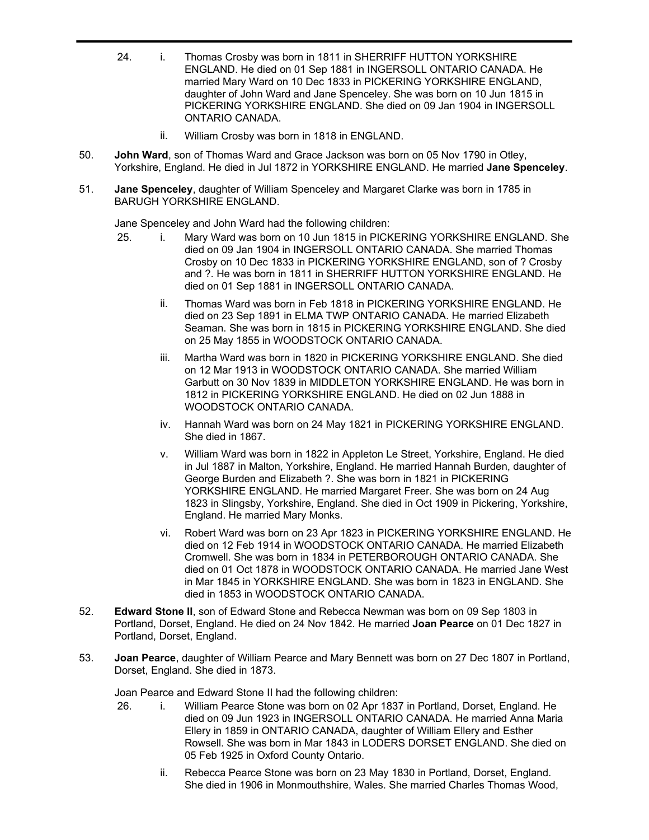- 24. i. Thomas Crosby was born in 1811 in SHERRIFF HUTTON YORKSHIRE ENGLAND. He died on 01 Sep 1881 in INGERSOLL ONTARIO CANADA. He married Mary Ward on 10 Dec 1833 in PICKERING YORKSHIRE ENGLAND, daughter of John Ward and Jane Spenceley. She was born on 10 Jun 1815 in PICKERING YORKSHIRE ENGLAND. She died on 09 Jan 1904 in INGERSOLL ONTARIO CANADA.
	- ii. William Crosby was born in 1818 in ENGLAND.
- **John Ward**, son of Thomas Ward and Grace Jackson was born on 05 Nov 1790 in Otley, Yorkshire, England. He died in Jul 1872 in YORKSHIRE ENGLAND. He married **Jane Spenceley**. 50.
- **Jane Spenceley**, daughter of William Spenceley and Margaret Clarke was born in 1785 in BARUGH YORKSHIRE ENGLAND. 51.

Jane Spenceley and John Ward had the following children:

- 25. i. Mary Ward was born on 10 Jun 1815 in PICKERING YORKSHIRE ENGLAND. She died on 09 Jan 1904 in INGERSOLL ONTARIO CANADA. She married Thomas Crosby on 10 Dec 1833 in PICKERING YORKSHIRE ENGLAND, son of ? Crosby and ?. He was born in 1811 in SHERRIFF HUTTON YORKSHIRE ENGLAND. He died on 01 Sep 1881 in INGERSOLL ONTARIO CANADA.
	- ii. Thomas Ward was born in Feb 1818 in PICKERING YORKSHIRE ENGLAND. He died on 23 Sep 1891 in ELMA TWP ONTARIO CANADA. He married Elizabeth Seaman. She was born in 1815 in PICKERING YORKSHIRE ENGLAND. She died on 25 May 1855 in WOODSTOCK ONTARIO CANADA.
	- iii. Martha Ward was born in 1820 in PICKERING YORKSHIRE ENGLAND. She died on 12 Mar 1913 in WOODSTOCK ONTARIO CANADA. She married William Garbutt on 30 Nov 1839 in MIDDLETON YORKSHIRE ENGLAND. He was born in 1812 in PICKERING YORKSHIRE ENGLAND. He died on 02 Jun 1888 in WOODSTOCK ONTARIO CANADA.
	- iv. Hannah Ward was born on 24 May 1821 in PICKERING YORKSHIRE ENGLAND. She died in 1867.
	- v. William Ward was born in 1822 in Appleton Le Street, Yorkshire, England. He died in Jul 1887 in Malton, Yorkshire, England. He married Hannah Burden, daughter of George Burden and Elizabeth ?. She was born in 1821 in PICKERING YORKSHIRE ENGLAND. He married Margaret Freer. She was born on 24 Aug 1823 in Slingsby, Yorkshire, England. She died in Oct 1909 in Pickering, Yorkshire, England. He married Mary Monks.
	- vi. Robert Ward was born on 23 Apr 1823 in PICKERING YORKSHIRE ENGLAND. He died on 12 Feb 1914 in WOODSTOCK ONTARIO CANADA. He married Elizabeth Cromwell. She was born in 1834 in PETERBOROUGH ONTARIO CANADA. She died on 01 Oct 1878 in WOODSTOCK ONTARIO CANADA. He married Jane West in Mar 1845 in YORKSHIRE ENGLAND. She was born in 1823 in ENGLAND. She died in 1853 in WOODSTOCK ONTARIO CANADA.
- **Edward Stone II**, son of Edward Stone and Rebecca Newman was born on 09 Sep 1803 in Portland, Dorset, England. He died on 24 Nov 1842. He married **Joan Pearce** on 01 Dec 1827 in Portland, Dorset, England. 52.
- **Joan Pearce**, daughter of William Pearce and Mary Bennett was born on 27 Dec 1807 in Portland, Dorset, England. She died in 1873. 53.

Joan Pearce and Edward Stone II had the following children:

- 26. i. William Pearce Stone was born on 02 Apr 1837 in Portland, Dorset, England. He died on 09 Jun 1923 in INGERSOLL ONTARIO CANADA. He married Anna Maria Ellery in 1859 in ONTARIO CANADA, daughter of William Ellery and Esther Rowsell. She was born in Mar 1843 in LODERS DORSET ENGLAND. She died on 05 Feb 1925 in Oxford County Ontario.
	- ii. Rebecca Pearce Stone was born on 23 May 1830 in Portland, Dorset, England. She died in 1906 in Monmouthshire, Wales. She married Charles Thomas Wood,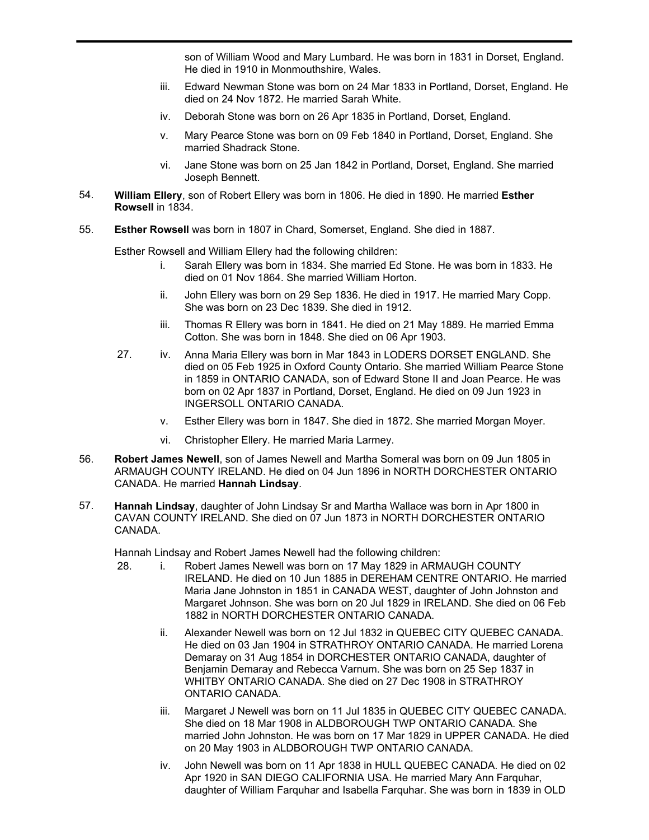son of William Wood and Mary Lumbard. He was born in 1831 in Dorset, England. He died in 1910 in Monmouthshire, Wales.

- iii. Edward Newman Stone was born on 24 Mar 1833 in Portland, Dorset, England. He died on 24 Nov 1872. He married Sarah White.
- iv. Deborah Stone was born on 26 Apr 1835 in Portland, Dorset, England.
- v. Mary Pearce Stone was born on 09 Feb 1840 in Portland, Dorset, England. She married Shadrack Stone.
- vi. Jane Stone was born on 25 Jan 1842 in Portland, Dorset, England. She married Joseph Bennett.
- **William Ellery**, son of Robert Ellery was born in 1806. He died in 1890. He married **Esther Rowsell** in 1834. 54.
- 55. **Esther Rowsell** was born in 1807 in Chard, Somerset, England. She died in 1887.

Esther Rowsell and William Ellery had the following children:

- i. Sarah Ellery was born in 1834. She married Ed Stone. He was born in 1833. He died on 01 Nov 1864. She married William Horton.
- ii. John Ellery was born on 29 Sep 1836. He died in 1917. He married Mary Copp. She was born on 23 Dec 1839. She died in 1912.
- iii. Thomas R Ellery was born in 1841. He died on 21 May 1889. He married Emma Cotton. She was born in 1848. She died on 06 Apr 1903.
- 27. iv. Anna Maria Ellery was born in Mar 1843 in LODERS DORSET ENGLAND. She died on 05 Feb 1925 in Oxford County Ontario. She married William Pearce Stone in 1859 in ONTARIO CANADA, son of Edward Stone II and Joan Pearce. He was born on 02 Apr 1837 in Portland, Dorset, England. He died on 09 Jun 1923 in INGERSOLL ONTARIO CANADA.
	- v. Esther Ellery was born in 1847. She died in 1872. She married Morgan Moyer.
	- vi. Christopher Ellery. He married Maria Larmey.
- **Robert James Newell**, son of James Newell and Martha Someral was born on 09 Jun 1805 in ARMAUGH COUNTY IRELAND. He died on 04 Jun 1896 in NORTH DORCHESTER ONTARIO CANADA. He married **Hannah Lindsay**. 56.
- **Hannah Lindsay**, daughter of John Lindsay Sr and Martha Wallace was born in Apr 1800 in CAVAN COUNTY IRELAND. She died on 07 Jun 1873 in NORTH DORCHESTER ONTARIO CANADA. 57.

Hannah Lindsay and Robert James Newell had the following children:

- 28. i. Robert James Newell was born on 17 May 1829 in ARMAUGH COUNTY IRELAND. He died on 10 Jun 1885 in DEREHAM CENTRE ONTARIO. He married Maria Jane Johnston in 1851 in CANADA WEST, daughter of John Johnston and Margaret Johnson. She was born on 20 Jul 1829 in IRELAND. She died on 06 Feb 1882 in NORTH DORCHESTER ONTARIO CANADA.
	- ii. Alexander Newell was born on 12 Jul 1832 in QUEBEC CITY QUEBEC CANADA. He died on 03 Jan 1904 in STRATHROY ONTARIO CANADA. He married Lorena Demaray on 31 Aug 1854 in DORCHESTER ONTARIO CANADA, daughter of Benjamin Demaray and Rebecca Varnum. She was born on 25 Sep 1837 in WHITBY ONTARIO CANADA. She died on 27 Dec 1908 in STRATHROY ONTARIO CANADA.
	- iii. Margaret J Newell was born on 11 Jul 1835 in QUEBEC CITY QUEBEC CANADA. She died on 18 Mar 1908 in ALDBOROUGH TWP ONTARIO CANADA. She married John Johnston. He was born on 17 Mar 1829 in UPPER CANADA. He died on 20 May 1903 in ALDBOROUGH TWP ONTARIO CANADA.
	- iv. John Newell was born on 11 Apr 1838 in HULL QUEBEC CANADA. He died on 02 Apr 1920 in SAN DIEGO CALIFORNIA USA. He married Mary Ann Farquhar, daughter of William Farquhar and Isabella Farquhar. She was born in 1839 in OLD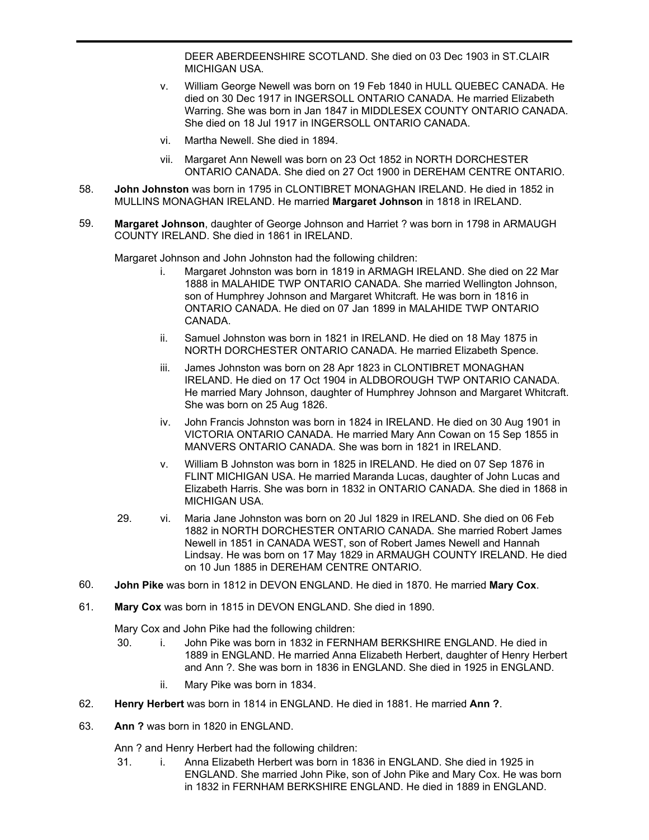DEER ABERDEENSHIRE SCOTLAND. She died on 03 Dec 1903 in ST.CLAIR MICHIGAN USA.

- v. William George Newell was born on 19 Feb 1840 in HULL QUEBEC CANADA. He died on 30 Dec 1917 in INGERSOLL ONTARIO CANADA. He married Elizabeth Warring. She was born in Jan 1847 in MIDDLESEX COUNTY ONTARIO CANADA. She died on 18 Jul 1917 in INGERSOLL ONTARIO CANADA.
- vi. Martha Newell. She died in 1894.
- vii. Margaret Ann Newell was born on 23 Oct 1852 in NORTH DORCHESTER ONTARIO CANADA. She died on 27 Oct 1900 in DEREHAM CENTRE ONTARIO.
- **John Johnston** was born in 1795 in CLONTIBRET MONAGHAN IRELAND. He died in 1852 in MULLINS MONAGHAN IRELAND. He married **Margaret Johnson** in 1818 in IRELAND. 58.
- **Margaret Johnson**, daughter of George Johnson and Harriet ? was born in 1798 in ARMAUGH COUNTY IRELAND. She died in 1861 in IRELAND. 59.

Margaret Johnson and John Johnston had the following children:

- i. Margaret Johnston was born in 1819 in ARMAGH IRELAND. She died on 22 Mar 1888 in MALAHIDE TWP ONTARIO CANADA. She married Wellington Johnson, son of Humphrey Johnson and Margaret Whitcraft. He was born in 1816 in ONTARIO CANADA. He died on 07 Jan 1899 in MALAHIDE TWP ONTARIO CANADA.
- ii. Samuel Johnston was born in 1821 in IRELAND. He died on 18 May 1875 in NORTH DORCHESTER ONTARIO CANADA. He married Elizabeth Spence.
- iii. James Johnston was born on 28 Apr 1823 in CLONTIBRET MONAGHAN IRELAND. He died on 17 Oct 1904 in ALDBOROUGH TWP ONTARIO CANADA. He married Mary Johnson, daughter of Humphrey Johnson and Margaret Whitcraft. She was born on 25 Aug 1826.
- iv. John Francis Johnston was born in 1824 in IRELAND. He died on 30 Aug 1901 in VICTORIA ONTARIO CANADA. He married Mary Ann Cowan on 15 Sep 1855 in MANVERS ONTARIO CANADA. She was born in 1821 in IRELAND.
- v. William B Johnston was born in 1825 in IRELAND. He died on 07 Sep 1876 in FLINT MICHIGAN USA. He married Maranda Lucas, daughter of John Lucas and Elizabeth Harris. She was born in 1832 in ONTARIO CANADA. She died in 1868 in MICHIGAN USA.
- 29. vi. Maria Jane Johnston was born on 20 Jul 1829 in IRELAND. She died on 06 Feb 1882 in NORTH DORCHESTER ONTARIO CANADA. She married Robert James Newell in 1851 in CANADA WEST, son of Robert James Newell and Hannah Lindsay. He was born on 17 May 1829 in ARMAUGH COUNTY IRELAND. He died on 10 Jun 1885 in DEREHAM CENTRE ONTARIO.
- 60. **John Pike** was born in 1812 in DEVON ENGLAND. He died in 1870. He married **Mary Cox**.
- 61. **Mary Cox** was born in 1815 in DEVON ENGLAND. She died in 1890.

Mary Cox and John Pike had the following children:

- 30. i. John Pike was born in 1832 in FERNHAM BERKSHIRE ENGLAND. He died in 1889 in ENGLAND. He married Anna Elizabeth Herbert, daughter of Henry Herbert and Ann ?. She was born in 1836 in ENGLAND. She died in 1925 in ENGLAND.
	- ii. Mary Pike was born in 1834.
- 62. **Henry Herbert** was born in 1814 in ENGLAND. He died in 1881. He married **Ann ?**.
- 63. **Ann ?** was born in 1820 in ENGLAND.

Ann ? and Henry Herbert had the following children:

31. i. Anna Elizabeth Herbert was born in 1836 in ENGLAND. She died in 1925 in ENGLAND. She married John Pike, son of John Pike and Mary Cox. He was born in 1832 in FERNHAM BERKSHIRE ENGLAND. He died in 1889 in ENGLAND.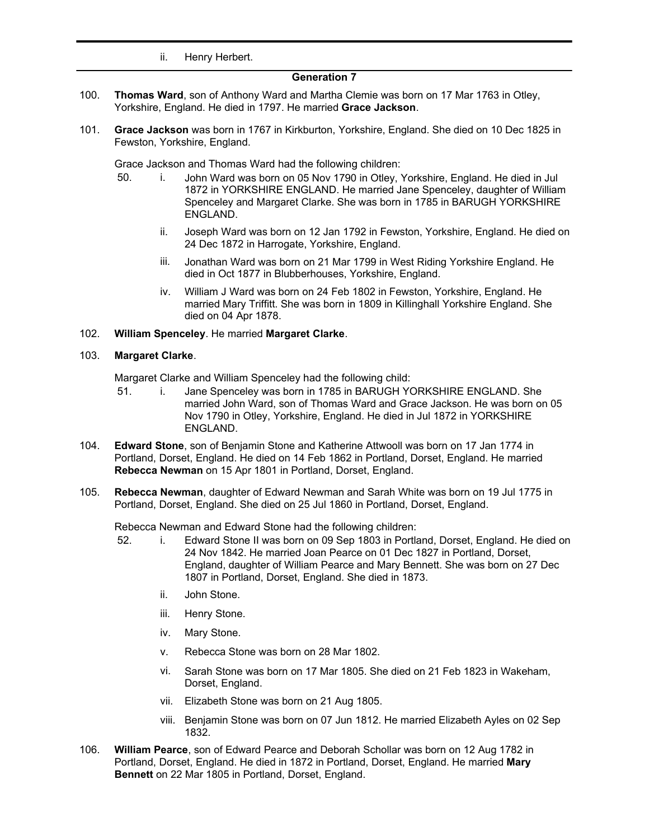ii. Henry Herbert.

# **Generation 7**

- **Thomas Ward**, son of Anthony Ward and Martha Clemie was born on 17 Mar 1763 in Otley, Yorkshire, England. He died in 1797. He married **Grace Jackson**. 100.
- **Grace Jackson** was born in 1767 in Kirkburton, Yorkshire, England. She died on 10 Dec 1825 in Fewston, Yorkshire, England. 101.

Grace Jackson and Thomas Ward had the following children:

- 50. i. John Ward was born on 05 Nov 1790 in Otley, Yorkshire, England. He died in Jul 1872 in YORKSHIRE ENGLAND. He married Jane Spenceley, daughter of William Spenceley and Margaret Clarke. She was born in 1785 in BARUGH YORKSHIRE ENGLAND.
	- ii. Joseph Ward was born on 12 Jan 1792 in Fewston, Yorkshire, England. He died on 24 Dec 1872 in Harrogate, Yorkshire, England.
	- iii. Jonathan Ward was born on 21 Mar 1799 in West Riding Yorkshire England. He died in Oct 1877 in Blubberhouses, Yorkshire, England.
	- iv. William J Ward was born on 24 Feb 1802 in Fewston, Yorkshire, England. He married Mary Triffitt. She was born in 1809 in Killinghall Yorkshire England. She died on 04 Apr 1878.

### 102. **William Spenceley**. He married **Margaret Clarke**.

#### 103. **Margaret Clarke**.

Margaret Clarke and William Spenceley had the following child:

- 51. i. Jane Spenceley was born in 1785 in BARUGH YORKSHIRE ENGLAND. She married John Ward, son of Thomas Ward and Grace Jackson. He was born on 05 Nov 1790 in Otley, Yorkshire, England. He died in Jul 1872 in YORKSHIRE ENGLAND.
- **Edward Stone**, son of Benjamin Stone and Katherine Attwooll was born on 17 Jan 1774 in Portland, Dorset, England. He died on 14 Feb 1862 in Portland, Dorset, England. He married **Rebecca Newman** on 15 Apr 1801 in Portland, Dorset, England. 104.
- **Rebecca Newman**, daughter of Edward Newman and Sarah White was born on 19 Jul 1775 in Portland, Dorset, England. She died on 25 Jul 1860 in Portland, Dorset, England. 105.

Rebecca Newman and Edward Stone had the following children:

- 52. i. Edward Stone II was born on 09 Sep 1803 in Portland, Dorset, England. He died on 24 Nov 1842. He married Joan Pearce on 01 Dec 1827 in Portland, Dorset, England, daughter of William Pearce and Mary Bennett. She was born on 27 Dec 1807 in Portland, Dorset, England. She died in 1873.
	- ii. John Stone.
	- iii. Henry Stone.
	- iv. Mary Stone.
	- v. Rebecca Stone was born on 28 Mar 1802.
	- vi. Sarah Stone was born on 17 Mar 1805. She died on 21 Feb 1823 in Wakeham, Dorset, England.
	- vii. Elizabeth Stone was born on 21 Aug 1805.
	- viii. Benjamin Stone was born on 07 Jun 1812. He married Elizabeth Ayles on 02 Sep 1832.
- **William Pearce**, son of Edward Pearce and Deborah Schollar was born on 12 Aug 1782 in Portland, Dorset, England. He died in 1872 in Portland, Dorset, England. He married **Mary Bennett** on 22 Mar 1805 in Portland, Dorset, England. 106.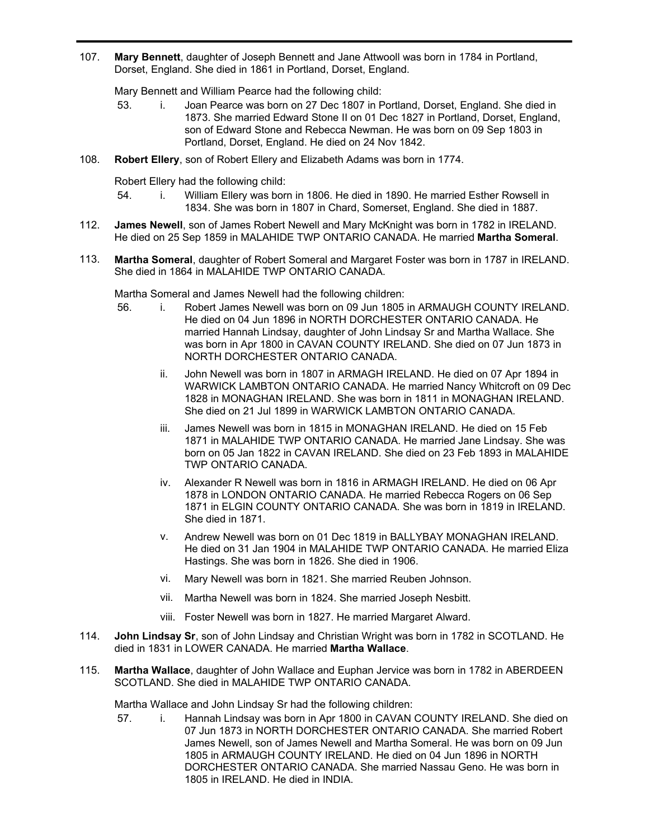**Mary Bennett**, daughter of Joseph Bennett and Jane Attwooll was born in 1784 in Portland, Dorset, England. She died in 1861 in Portland, Dorset, England. 107.

Mary Bennett and William Pearce had the following child:

- 53. i. Joan Pearce was born on 27 Dec 1807 in Portland, Dorset, England. She died in 1873. She married Edward Stone II on 01 Dec 1827 in Portland, Dorset, England, son of Edward Stone and Rebecca Newman. He was born on 09 Sep 1803 in Portland, Dorset, England. He died on 24 Nov 1842.
- 108. **Robert Ellery**, son of Robert Ellery and Elizabeth Adams was born in 1774.

Robert Ellery had the following child:

- 54. i. William Ellery was born in 1806. He died in 1890. He married Esther Rowsell in 1834. She was born in 1807 in Chard, Somerset, England. She died in 1887.
- **James Newell**, son of James Robert Newell and Mary McKnight was born in 1782 in IRELAND. He died on 25 Sep 1859 in MALAHIDE TWP ONTARIO CANADA. He married **Martha Someral**. 112.
- **Martha Someral**, daughter of Robert Someral and Margaret Foster was born in 1787 in IRELAND. She died in 1864 in MALAHIDE TWP ONTARIO CANADA. 113.

Martha Someral and James Newell had the following children:

- 56. i. Robert James Newell was born on 09 Jun 1805 in ARMAUGH COUNTY IRELAND. He died on 04 Jun 1896 in NORTH DORCHESTER ONTARIO CANADA. He married Hannah Lindsay, daughter of John Lindsay Sr and Martha Wallace. She was born in Apr 1800 in CAVAN COUNTY IRELAND. She died on 07 Jun 1873 in NORTH DORCHESTER ONTARIO CANADA.
	- ii. John Newell was born in 1807 in ARMAGH IRELAND. He died on 07 Apr 1894 in WARWICK LAMBTON ONTARIO CANADA. He married Nancy Whitcroft on 09 Dec 1828 in MONAGHAN IRELAND. She was born in 1811 in MONAGHAN IRELAND. She died on 21 Jul 1899 in WARWICK LAMBTON ONTARIO CANADA.
	- iii. James Newell was born in 1815 in MONAGHAN IRELAND. He died on 15 Feb 1871 in MALAHIDE TWP ONTARIO CANADA. He married Jane Lindsay. She was born on 05 Jan 1822 in CAVAN IRELAND. She died on 23 Feb 1893 in MALAHIDE TWP ONTARIO CANADA.
	- iv. Alexander R Newell was born in 1816 in ARMAGH IRELAND. He died on 06 Apr 1878 in LONDON ONTARIO CANADA. He married Rebecca Rogers on 06 Sep 1871 in ELGIN COUNTY ONTARIO CANADA. She was born in 1819 in IRELAND. She died in 1871.
	- v. Andrew Newell was born on 01 Dec 1819 in BALLYBAY MONAGHAN IRELAND. He died on 31 Jan 1904 in MALAHIDE TWP ONTARIO CANADA. He married Eliza Hastings. She was born in 1826. She died in 1906.
	- vi. Mary Newell was born in 1821. She married Reuben Johnson.
	- vii. Martha Newell was born in 1824. She married Joseph Nesbitt.
	- viii. Foster Newell was born in 1827. He married Margaret Alward.
- **John Lindsay Sr**, son of John Lindsay and Christian Wright was born in 1782 in SCOTLAND. He died in 1831 in LOWER CANADA. He married **Martha Wallace**. 114.
- **Martha Wallace**, daughter of John Wallace and Euphan Jervice was born in 1782 in ABERDEEN SCOTLAND. She died in MALAHIDE TWP ONTARIO CANADA. 115.

Martha Wallace and John Lindsay Sr had the following children:

57. i. Hannah Lindsay was born in Apr 1800 in CAVAN COUNTY IRELAND. She died on 07 Jun 1873 in NORTH DORCHESTER ONTARIO CANADA. She married Robert James Newell, son of James Newell and Martha Someral. He was born on 09 Jun 1805 in ARMAUGH COUNTY IRELAND. He died on 04 Jun 1896 in NORTH DORCHESTER ONTARIO CANADA. She married Nassau Geno. He was born in 1805 in IRELAND. He died in INDIA.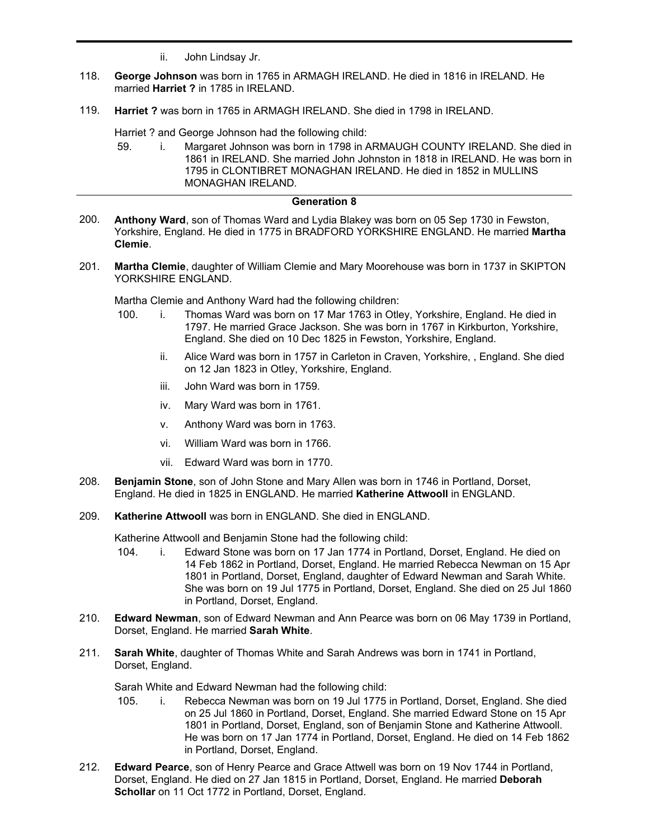- ii. John Lindsay Jr.
- **George Johnson** was born in 1765 in ARMAGH IRELAND. He died in 1816 in IRELAND. He married **Harriet ?** in 1785 in IRELAND. 118.
- 119. **Harriet ?** was born in 1765 in ARMAGH IRELAND. She died in 1798 in IRELAND.

Harriet ? and George Johnson had the following child:

59. i. Margaret Johnson was born in 1798 in ARMAUGH COUNTY IRELAND. She died in 1861 in IRELAND. She married John Johnston in 1818 in IRELAND. He was born in 1795 in CLONTIBRET MONAGHAN IRELAND. He died in 1852 in MULLINS MONAGHAN IRELAND.

### **Generation 8**

- **Anthony Ward**, son of Thomas Ward and Lydia Blakey was born on 05 Sep 1730 in Fewston, Yorkshire, England. He died in 1775 in BRADFORD YORKSHIRE ENGLAND. He married **Martha Clemie**. 200.
- **Martha Clemie**, daughter of William Clemie and Mary Moorehouse was born in 1737 in SKIPTON YORKSHIRE ENGLAND. 201.

Martha Clemie and Anthony Ward had the following children:

- 100. i. Thomas Ward was born on 17 Mar 1763 in Otley, Yorkshire, England. He died in 1797. He married Grace Jackson. She was born in 1767 in Kirkburton, Yorkshire, England. She died on 10 Dec 1825 in Fewston, Yorkshire, England.
	- ii. Alice Ward was born in 1757 in Carleton in Craven, Yorkshire, , England. She died on 12 Jan 1823 in Otley, Yorkshire, England.
	- iii. John Ward was born in 1759.
	- iv. Mary Ward was born in 1761.
	- v. Anthony Ward was born in 1763.
	- vi. William Ward was born in 1766.
	- vii. Edward Ward was born in 1770.
- **Benjamin Stone**, son of John Stone and Mary Allen was born in 1746 in Portland, Dorset, England. He died in 1825 in ENGLAND. He married **Katherine Attwooll** in ENGLAND. 208.
- 209. **Katherine Attwooll** was born in ENGLAND. She died in ENGLAND.

Katherine Attwooll and Benjamin Stone had the following child:

- 104. i. Edward Stone was born on 17 Jan 1774 in Portland, Dorset, England. He died on 14 Feb 1862 in Portland, Dorset, England. He married Rebecca Newman on 15 Apr 1801 in Portland, Dorset, England, daughter of Edward Newman and Sarah White. She was born on 19 Jul 1775 in Portland, Dorset, England. She died on 25 Jul 1860 in Portland, Dorset, England.
- **Edward Newman**, son of Edward Newman and Ann Pearce was born on 06 May 1739 in Portland, Dorset, England. He married **Sarah White**. 210.
- **Sarah White**, daughter of Thomas White and Sarah Andrews was born in 1741 in Portland, Dorset, England. 211.

Sarah White and Edward Newman had the following child:

- 105. i. Rebecca Newman was born on 19 Jul 1775 in Portland, Dorset, England. She died on 25 Jul 1860 in Portland, Dorset, England. She married Edward Stone on 15 Apr 1801 in Portland, Dorset, England, son of Benjamin Stone and Katherine Attwooll. He was born on 17 Jan 1774 in Portland, Dorset, England. He died on 14 Feb 1862 in Portland, Dorset, England.
- **Edward Pearce**, son of Henry Pearce and Grace Attwell was born on 19 Nov 1744 in Portland, Dorset, England. He died on 27 Jan 1815 in Portland, Dorset, England. He married **Deborah Schollar** on 11 Oct 1772 in Portland, Dorset, England. 212.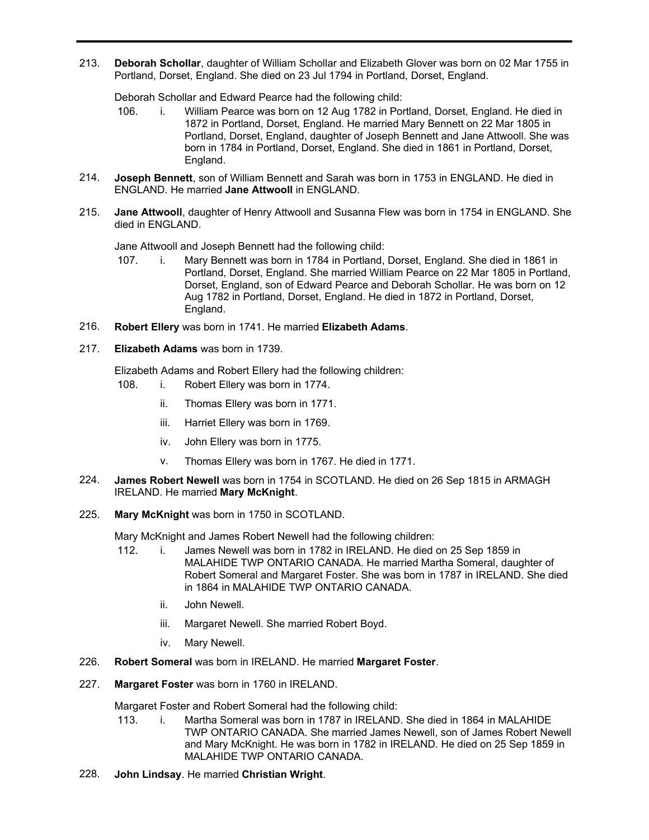**Deborah Schollar**, daughter of William Schollar and Elizabeth Glover was born on 02 Mar 1755 in Portland, Dorset, England. She died on 23 Jul 1794 in Portland, Dorset, England. 213.

Deborah Schollar and Edward Pearce had the following child:

- 106. i. William Pearce was born on 12 Aug 1782 in Portland, Dorset, England. He died in 1872 in Portland, Dorset, England. He married Mary Bennett on 22 Mar 1805 in Portland, Dorset, England, daughter of Joseph Bennett and Jane Attwooll. She was born in 1784 in Portland, Dorset, England. She died in 1861 in Portland, Dorset, England.
- **Joseph Bennett**, son of William Bennett and Sarah was born in 1753 in ENGLAND. He died in ENGLAND. He married **Jane Attwooll** in ENGLAND. 214.
- **Jane Attwooll**, daughter of Henry Attwooll and Susanna Flew was born in 1754 in ENGLAND. She died in ENGLAND. 215.

Jane Attwooll and Joseph Bennett had the following child:

- 107. i. Mary Bennett was born in 1784 in Portland, Dorset, England. She died in 1861 in Portland, Dorset, England. She married William Pearce on 22 Mar 1805 in Portland, Dorset, England, son of Edward Pearce and Deborah Schollar. He was born on 12 Aug 1782 in Portland, Dorset, England. He died in 1872 in Portland, Dorset, England.
- 216. **Robert Ellery** was born in 1741. He married **Elizabeth Adams**.
- 217. **Elizabeth Adams** was born in 1739.

Elizabeth Adams and Robert Ellery had the following children:

- 108. i. Robert Ellery was born in 1774.
	- ii. Thomas Ellery was born in 1771.
	- iii. Harriet Ellery was born in 1769.
	- iv. John Ellery was born in 1775.
	- v. Thomas Ellery was born in 1767. He died in 1771.
- **James Robert Newell** was born in 1754 in SCOTLAND. He died on 26 Sep 1815 in ARMAGH IRELAND. He married **Mary McKnight**. 224.
- 225. **Mary McKnight** was born in 1750 in SCOTLAND.

Mary McKnight and James Robert Newell had the following children:

- 112. i. James Newell was born in 1782 in IRELAND. He died on 25 Sep 1859 in MALAHIDE TWP ONTARIO CANADA. He married Martha Someral, daughter of Robert Someral and Margaret Foster. She was born in 1787 in IRELAND. She died in 1864 in MALAHIDE TWP ONTARIO CANADA.
	- ii. John Newell.
	- iii. Margaret Newell. She married Robert Boyd.
	- iv. Mary Newell.
- 226. **Robert Someral** was born in IRELAND. He married **Margaret Foster**.
- 227. **Margaret Foster** was born in 1760 in IRELAND.

Margaret Foster and Robert Someral had the following child:

- 113. i. Martha Someral was born in 1787 in IRELAND. She died in 1864 in MALAHIDE TWP ONTARIO CANADA. She married James Newell, son of James Robert Newell and Mary McKnight. He was born in 1782 in IRELAND. He died on 25 Sep 1859 in MALAHIDE TWP ONTARIO CANADA.
- 228. **John Lindsay**. He married **Christian Wright**.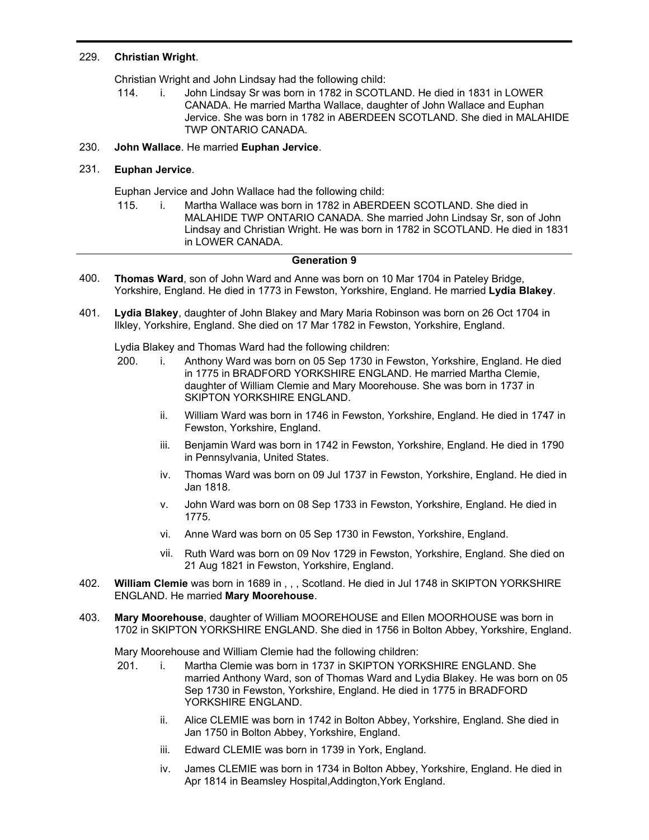### 229. **Christian Wright**.

Christian Wright and John Lindsay had the following child:

114. i. John Lindsay Sr was born in 1782 in SCOTLAND. He died in 1831 in LOWER CANADA. He married Martha Wallace, daughter of John Wallace and Euphan Jervice. She was born in 1782 in ABERDEEN SCOTLAND. She died in MALAHIDE TWP ONTARIO CANADA.

### 230. **John Wallace**. He married **Euphan Jervice**.

### 231. **Euphan Jervice**.

Euphan Jervice and John Wallace had the following child:

115. i. Martha Wallace was born in 1782 in ABERDEEN SCOTLAND. She died in MALAHIDE TWP ONTARIO CANADA. She married John Lindsay Sr, son of John Lindsay and Christian Wright. He was born in 1782 in SCOTLAND. He died in 1831 in LOWER CANADA.

### **Generation 9**

- **Thomas Ward**, son of John Ward and Anne was born on 10 Mar 1704 in Pateley Bridge, Yorkshire, England. He died in 1773 in Fewston, Yorkshire, England. He married **Lydia Blakey**. 400.
- **Lydia Blakey**, daughter of John Blakey and Mary Maria Robinson was born on 26 Oct 1704 in Ilkley, Yorkshire, England. She died on 17 Mar 1782 in Fewston, Yorkshire, England. 401.

Lydia Blakey and Thomas Ward had the following children:

- 200. i. Anthony Ward was born on 05 Sep 1730 in Fewston, Yorkshire, England. He died in 1775 in BRADFORD YORKSHIRE ENGLAND. He married Martha Clemie, daughter of William Clemie and Mary Moorehouse. She was born in 1737 in SKIPTON YORKSHIRE ENGLAND.
	- ii. William Ward was born in 1746 in Fewston, Yorkshire, England. He died in 1747 in Fewston, Yorkshire, England.
	- iii. Benjamin Ward was born in 1742 in Fewston, Yorkshire, England. He died in 1790 in Pennsylvania, United States.
	- iv. Thomas Ward was born on 09 Jul 1737 in Fewston, Yorkshire, England. He died in Jan 1818.
	- v. John Ward was born on 08 Sep 1733 in Fewston, Yorkshire, England. He died in 1775.
	- vi. Anne Ward was born on 05 Sep 1730 in Fewston, Yorkshire, England.
	- vii. Ruth Ward was born on 09 Nov 1729 in Fewston, Yorkshire, England. She died on 21 Aug 1821 in Fewston, Yorkshire, England.
- **William Clemie** was born in 1689 in , , , Scotland. He died in Jul 1748 in SKIPTON YORKSHIRE ENGLAND. He married **Mary Moorehouse**. 402.
- **Mary Moorehouse**, daughter of William MOOREHOUSE and Ellen MOORHOUSE was born in 1702 in SKIPTON YORKSHIRE ENGLAND. She died in 1756 in Bolton Abbey, Yorkshire, England. 403.

Mary Moorehouse and William Clemie had the following children:

- 201. i. Martha Clemie was born in 1737 in SKIPTON YORKSHIRE ENGLAND. She married Anthony Ward, son of Thomas Ward and Lydia Blakey. He was born on 05 Sep 1730 in Fewston, Yorkshire, England. He died in 1775 in BRADFORD YORKSHIRE ENGLAND.
	- ii. Alice CLEMIE was born in 1742 in Bolton Abbey, Yorkshire, England. She died in Jan 1750 in Bolton Abbey, Yorkshire, England.
	- iii. Edward CLEMIE was born in 1739 in York, England.
	- iv. James CLEMIE was born in 1734 in Bolton Abbey, Yorkshire, England. He died in Apr 1814 in Beamsley Hospital,Addington,York England.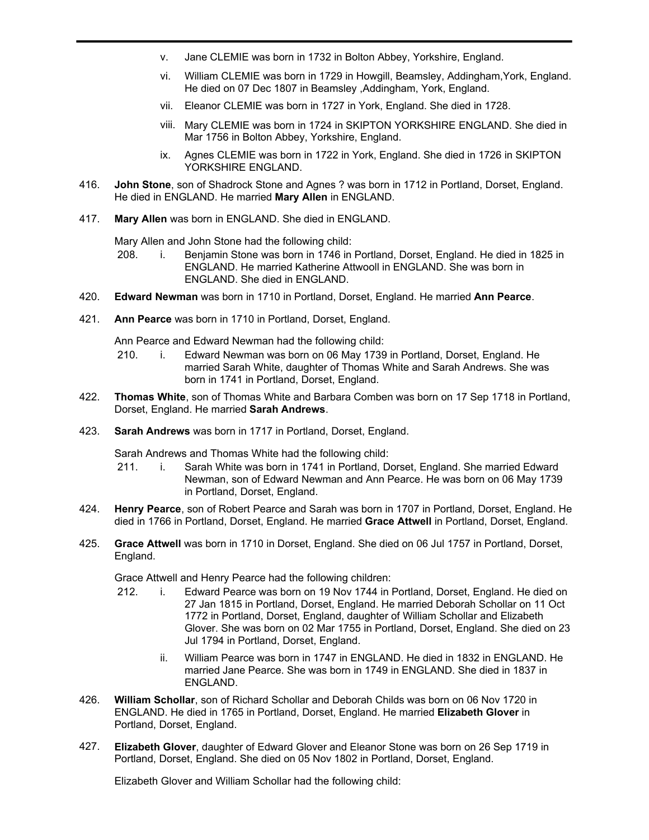- v. Jane CLEMIE was born in 1732 in Bolton Abbey, Yorkshire, England.
- vi. William CLEMIE was born in 1729 in Howgill, Beamsley, Addingham,York, England. He died on 07 Dec 1807 in Beamsley ,Addingham, York, England.
- vii. Eleanor CLEMIE was born in 1727 in York, England. She died in 1728.
- viii. Mary CLEMIE was born in 1724 in SKIPTON YORKSHIRE ENGLAND. She died in Mar 1756 in Bolton Abbey, Yorkshire, England.
- ix. Agnes CLEMIE was born in 1722 in York, England. She died in 1726 in SKIPTON YORKSHIRE ENGLAND.
- **John Stone**, son of Shadrock Stone and Agnes ? was born in 1712 in Portland, Dorset, England. He died in ENGLAND. He married **Mary Allen** in ENGLAND. 416.
- 417. **Mary Allen** was born in ENGLAND. She died in ENGLAND.

Mary Allen and John Stone had the following child:

- 208. i. Benjamin Stone was born in 1746 in Portland, Dorset, England. He died in 1825 in ENGLAND. He married Katherine Attwooll in ENGLAND. She was born in ENGLAND. She died in ENGLAND.
- 420. **Edward Newman** was born in 1710 in Portland, Dorset, England. He married **Ann Pearce**.
- 421. **Ann Pearce** was born in 1710 in Portland, Dorset, England.

Ann Pearce and Edward Newman had the following child:

- 210. i. Edward Newman was born on 06 May 1739 in Portland, Dorset, England. He married Sarah White, daughter of Thomas White and Sarah Andrews. She was born in 1741 in Portland, Dorset, England.
- **Thomas White**, son of Thomas White and Barbara Comben was born on 17 Sep 1718 in Portland, Dorset, England. He married **Sarah Andrews**. 422.
- 423. **Sarah Andrews** was born in 1717 in Portland, Dorset, England.

Sarah Andrews and Thomas White had the following child:

- 211. i. Sarah White was born in 1741 in Portland, Dorset, England. She married Edward Newman, son of Edward Newman and Ann Pearce. He was born on 06 May 1739 in Portland, Dorset, England.
- **Henry Pearce**, son of Robert Pearce and Sarah was born in 1707 in Portland, Dorset, England. He died in 1766 in Portland, Dorset, England. He married **Grace Attwell** in Portland, Dorset, England. 424.
- **Grace Attwell** was born in 1710 in Dorset, England. She died on 06 Jul 1757 in Portland, Dorset, England. 425.

Grace Attwell and Henry Pearce had the following children:

- 212. i. Edward Pearce was born on 19 Nov 1744 in Portland, Dorset, England. He died on 27 Jan 1815 in Portland, Dorset, England. He married Deborah Schollar on 11 Oct 1772 in Portland, Dorset, England, daughter of William Schollar and Elizabeth Glover. She was born on 02 Mar 1755 in Portland, Dorset, England. She died on 23 Jul 1794 in Portland, Dorset, England.
	- ii. William Pearce was born in 1747 in ENGLAND. He died in 1832 in ENGLAND. He married Jane Pearce. She was born in 1749 in ENGLAND. She died in 1837 in ENGLAND.
- **William Schollar**, son of Richard Schollar and Deborah Childs was born on 06 Nov 1720 in ENGLAND. He died in 1765 in Portland, Dorset, England. He married **Elizabeth Glover** in Portland, Dorset, England. 426.
- **Elizabeth Glover**, daughter of Edward Glover and Eleanor Stone was born on 26 Sep 1719 in Portland, Dorset, England. She died on 05 Nov 1802 in Portland, Dorset, England. 427.

Elizabeth Glover and William Schollar had the following child: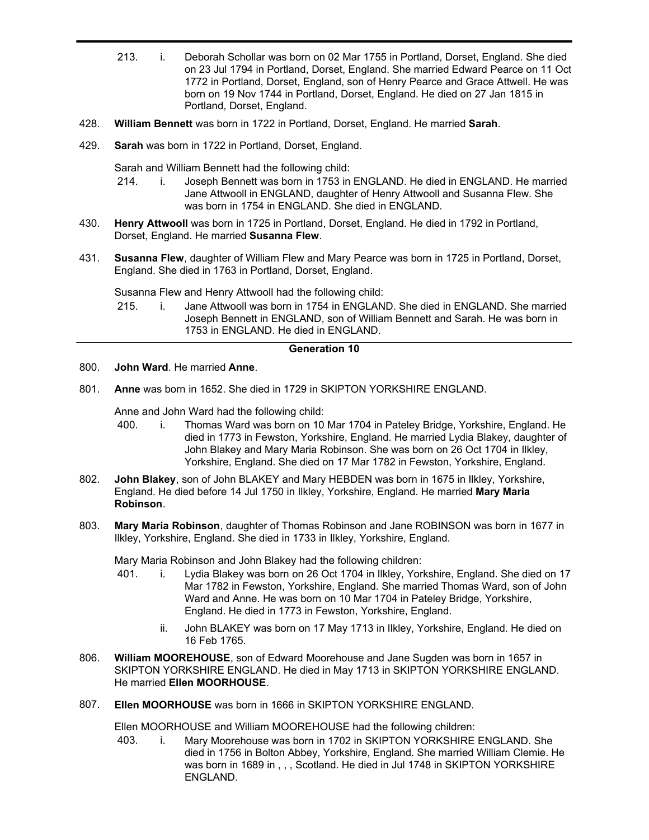- 213. i. Deborah Schollar was born on 02 Mar 1755 in Portland, Dorset, England. She died on 23 Jul 1794 in Portland, Dorset, England. She married Edward Pearce on 11 Oct 1772 in Portland, Dorset, England, son of Henry Pearce and Grace Attwell. He was born on 19 Nov 1744 in Portland, Dorset, England. He died on 27 Jan 1815 in Portland, Dorset, England.
- 428. **William Bennett** was born in 1722 in Portland, Dorset, England. He married **Sarah**.
- 429. **Sarah** was born in 1722 in Portland, Dorset, England.

Sarah and William Bennett had the following child:

- 214. i. Joseph Bennett was born in 1753 in ENGLAND. He died in ENGLAND. He married Jane Attwooll in ENGLAND, daughter of Henry Attwooll and Susanna Flew. She was born in 1754 in ENGLAND. She died in ENGLAND.
- **Henry Attwooll** was born in 1725 in Portland, Dorset, England. He died in 1792 in Portland, Dorset, England. He married **Susanna Flew**. 430.
- **Susanna Flew**, daughter of William Flew and Mary Pearce was born in 1725 in Portland, Dorset, England. She died in 1763 in Portland, Dorset, England. 431.

Susanna Flew and Henry Attwooll had the following child:

215. i. Jane Attwooll was born in 1754 in ENGLAND. She died in ENGLAND. She married Joseph Bennett in ENGLAND, son of William Bennett and Sarah. He was born in 1753 in ENGLAND. He died in ENGLAND.

### **Generation 10**

- 800. **John Ward**. He married **Anne**.
- 801. **Anne** was born in 1652. She died in 1729 in SKIPTON YORKSHIRE ENGLAND.

Anne and John Ward had the following child:

- 400. i. Thomas Ward was born on 10 Mar 1704 in Pateley Bridge, Yorkshire, England. He died in 1773 in Fewston, Yorkshire, England. He married Lydia Blakey, daughter of John Blakey and Mary Maria Robinson. She was born on 26 Oct 1704 in Ilkley, Yorkshire, England. She died on 17 Mar 1782 in Fewston, Yorkshire, England.
- **John Blakey**, son of John BLAKEY and Mary HEBDEN was born in 1675 in Ilkley, Yorkshire, England. He died before 14 Jul 1750 in Ilkley, Yorkshire, England. He married **Mary Maria Robinson**. 802.
- **Mary Maria Robinson**, daughter of Thomas Robinson and Jane ROBINSON was born in 1677 in Ilkley, Yorkshire, England. She died in 1733 in Ilkley, Yorkshire, England. 803.

Mary Maria Robinson and John Blakey had the following children:

- 401. i. Lydia Blakey was born on 26 Oct 1704 in Ilkley, Yorkshire, England. She died on 17 Mar 1782 in Fewston, Yorkshire, England. She married Thomas Ward, son of John Ward and Anne. He was born on 10 Mar 1704 in Pateley Bridge, Yorkshire, England. He died in 1773 in Fewston, Yorkshire, England.
	- ii. John BLAKEY was born on 17 May 1713 in Ilkley, Yorkshire, England. He died on 16 Feb 1765.
- **William MOOREHOUSE**, son of Edward Moorehouse and Jane Sugden was born in 1657 in SKIPTON YORKSHIRE ENGLAND. He died in May 1713 in SKIPTON YORKSHIRE ENGLAND. He married **Ellen MOORHOUSE**. 806.
- 807. **Ellen MOORHOUSE** was born in 1666 in SKIPTON YORKSHIRE ENGLAND.

Ellen MOORHOUSE and William MOOREHOUSE had the following children:

403. i. Mary Moorehouse was born in 1702 in SKIPTON YORKSHIRE ENGLAND. She died in 1756 in Bolton Abbey, Yorkshire, England. She married William Clemie. He was born in 1689 in , , , Scotland. He died in Jul 1748 in SKIPTON YORKSHIRE ENGLAND.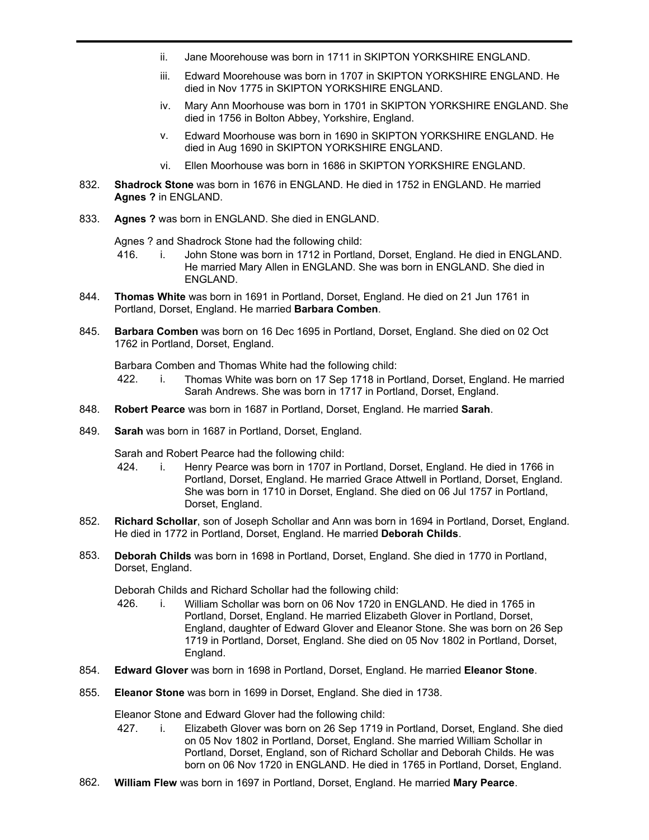- ii. Jane Moorehouse was born in 1711 in SKIPTON YORKSHIRE ENGLAND.
- iii. Edward Moorehouse was born in 1707 in SKIPTON YORKSHIRE ENGLAND. He died in Nov 1775 in SKIPTON YORKSHIRE ENGLAND.
- iv. Mary Ann Moorhouse was born in 1701 in SKIPTON YORKSHIRE ENGLAND. She died in 1756 in Bolton Abbey, Yorkshire, England.
- v. Edward Moorhouse was born in 1690 in SKIPTON YORKSHIRE ENGLAND. He died in Aug 1690 in SKIPTON YORKSHIRE ENGLAND.
- vi. Ellen Moorhouse was born in 1686 in SKIPTON YORKSHIRE ENGLAND.
- **Shadrock Stone** was born in 1676 in ENGLAND. He died in 1752 in ENGLAND. He married **Agnes ?** in ENGLAND. 832.
- 833. **Agnes ?** was born in ENGLAND. She died in ENGLAND.

Agnes ? and Shadrock Stone had the following child:

- 416. i. John Stone was born in 1712 in Portland, Dorset, England. He died in ENGLAND. He married Mary Allen in ENGLAND. She was born in ENGLAND. She died in ENGLAND.
- **Thomas White** was born in 1691 in Portland, Dorset, England. He died on 21 Jun 1761 in Portland, Dorset, England. He married **Barbara Comben**. 844.
- **Barbara Comben** was born on 16 Dec 1695 in Portland, Dorset, England. She died on 02 Oct 1762 in Portland, Dorset, England. 845.

Barbara Comben and Thomas White had the following child:

- 422. i. Thomas White was born on 17 Sep 1718 in Portland, Dorset, England. He married Sarah Andrews. She was born in 1717 in Portland, Dorset, England.
- 848. **Robert Pearce** was born in 1687 in Portland, Dorset, England. He married **Sarah**.
- 849. **Sarah** was born in 1687 in Portland, Dorset, England.

Sarah and Robert Pearce had the following child:

- 424. i. Henry Pearce was born in 1707 in Portland, Dorset, England. He died in 1766 in Portland, Dorset, England. He married Grace Attwell in Portland, Dorset, England. She was born in 1710 in Dorset, England. She died on 06 Jul 1757 in Portland, Dorset, England.
- **Richard Schollar**, son of Joseph Schollar and Ann was born in 1694 in Portland, Dorset, England. He died in 1772 in Portland, Dorset, England. He married **Deborah Childs**. 852.
- **Deborah Childs** was born in 1698 in Portland, Dorset, England. She died in 1770 in Portland, Dorset, England. 853.

Deborah Childs and Richard Schollar had the following child:

- 426. i. William Schollar was born on 06 Nov 1720 in ENGLAND. He died in 1765 in Portland, Dorset, England. He married Elizabeth Glover in Portland, Dorset, England, daughter of Edward Glover and Eleanor Stone. She was born on 26 Sep 1719 in Portland, Dorset, England. She died on 05 Nov 1802 in Portland, Dorset, England.
- 854. **Edward Glover** was born in 1698 in Portland, Dorset, England. He married **Eleanor Stone**.
- 855. **Eleanor Stone** was born in 1699 in Dorset, England. She died in 1738.

Eleanor Stone and Edward Glover had the following child:

- 427. i. Elizabeth Glover was born on 26 Sep 1719 in Portland, Dorset, England. She died on 05 Nov 1802 in Portland, Dorset, England. She married William Schollar in Portland, Dorset, England, son of Richard Schollar and Deborah Childs. He was born on 06 Nov 1720 in ENGLAND. He died in 1765 in Portland, Dorset, England.
- 862. **William Flew** was born in 1697 in Portland, Dorset, England. He married **Mary Pearce**.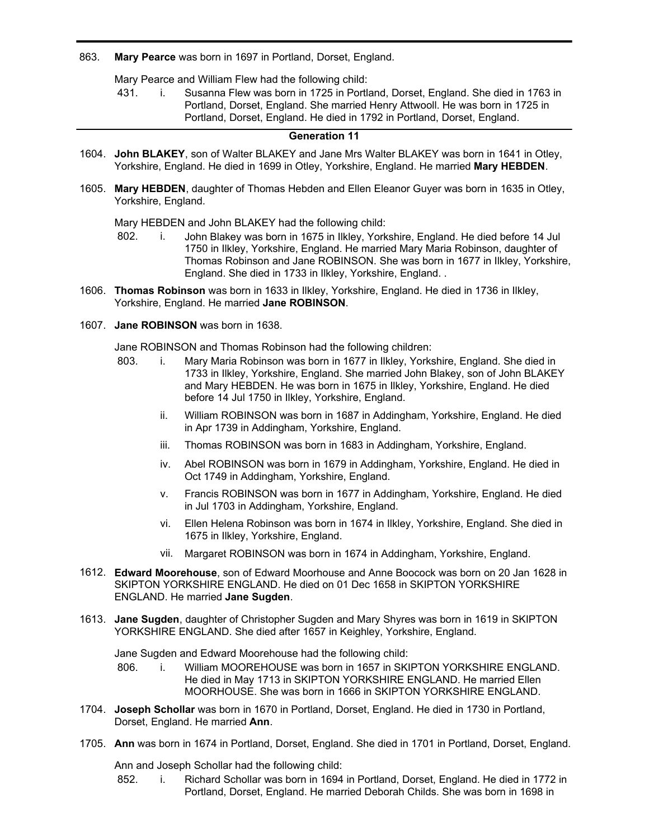### 863. **Mary Pearce** was born in 1697 in Portland, Dorset, England.

Mary Pearce and William Flew had the following child:

431. i. Susanna Flew was born in 1725 in Portland, Dorset, England. She died in 1763 in Portland, Dorset, England. She married Henry Attwooll. He was born in 1725 in Portland, Dorset, England. He died in 1792 in Portland, Dorset, England.

### **Generation 11**

- **John BLAKEY**, son of Walter BLAKEY and Jane Mrs Walter BLAKEY was born in 1641 in Otley, 1604. Yorkshire, England. He died in 1699 in Otley, Yorkshire, England. He married **Mary HEBDEN**.
- **Mary HEBDEN**, daughter of Thomas Hebden and Ellen Eleanor Guyer was born in 1635 in Otley, 1605. Yorkshire, England.

Mary HEBDEN and John BLAKEY had the following child:

- 802. i. John Blakey was born in 1675 in Ilkley, Yorkshire, England. He died before 14 Jul 1750 in Ilkley, Yorkshire, England. He married Mary Maria Robinson, daughter of Thomas Robinson and Jane ROBINSON. She was born in 1677 in Ilkley, Yorkshire, England. She died in 1733 in Ilkley, Yorkshire, England. .
- **Thomas Robinson** was born in 1633 in Ilkley, Yorkshire, England. He died in 1736 in Ilkley, 1606. Yorkshire, England. He married **Jane ROBINSON**.
- 1607. **Jane ROBINSON** was born in 1638.

Jane ROBINSON and Thomas Robinson had the following children:

- 803. i. Mary Maria Robinson was born in 1677 in Ilkley, Yorkshire, England. She died in 1733 in Ilkley, Yorkshire, England. She married John Blakey, son of John BLAKEY and Mary HEBDEN. He was born in 1675 in Ilkley, Yorkshire, England. He died before 14 Jul 1750 in Ilkley, Yorkshire, England.
	- ii. William ROBINSON was born in 1687 in Addingham, Yorkshire, England. He died in Apr 1739 in Addingham, Yorkshire, England.
	- iii. Thomas ROBINSON was born in 1683 in Addingham, Yorkshire, England.
	- iv. Abel ROBINSON was born in 1679 in Addingham, Yorkshire, England. He died in Oct 1749 in Addingham, Yorkshire, England.
	- v. Francis ROBINSON was born in 1677 in Addingham, Yorkshire, England. He died in Jul 1703 in Addingham, Yorkshire, England.
	- vi. Ellen Helena Robinson was born in 1674 in Ilkley, Yorkshire, England. She died in 1675 in Ilkley, Yorkshire, England.
	- vii. Margaret ROBINSON was born in 1674 in Addingham, Yorkshire, England.
- **Edward Moorehouse**, son of Edward Moorhouse and Anne Boocock was born on 20 Jan 1628 in 1612. SKIPTON YORKSHIRE ENGLAND. He died on 01 Dec 1658 in SKIPTON YORKSHIRE ENGLAND. He married **Jane Sugden**.
- **Jane Sugden**, daughter of Christopher Sugden and Mary Shyres was born in 1619 in SKIPTON 1613. YORKSHIRE ENGLAND. She died after 1657 in Keighley, Yorkshire, England.

Jane Sugden and Edward Moorehouse had the following child:

- 806. i. William MOOREHOUSE was born in 1657 in SKIPTON YORKSHIRE ENGLAND. He died in May 1713 in SKIPTON YORKSHIRE ENGLAND. He married Ellen MOORHOUSE. She was born in 1666 in SKIPTON YORKSHIRE ENGLAND.
- **Joseph Schollar** was born in 1670 in Portland, Dorset, England. He died in 1730 in Portland, 1704. Dorset, England. He married **Ann**.
- 1705. **Ann** was born in 1674 in Portland, Dorset, England. She died in 1701 in Portland, Dorset, England.

Ann and Joseph Schollar had the following child:

852. i. Richard Schollar was born in 1694 in Portland, Dorset, England. He died in 1772 in Portland, Dorset, England. He married Deborah Childs. She was born in 1698 in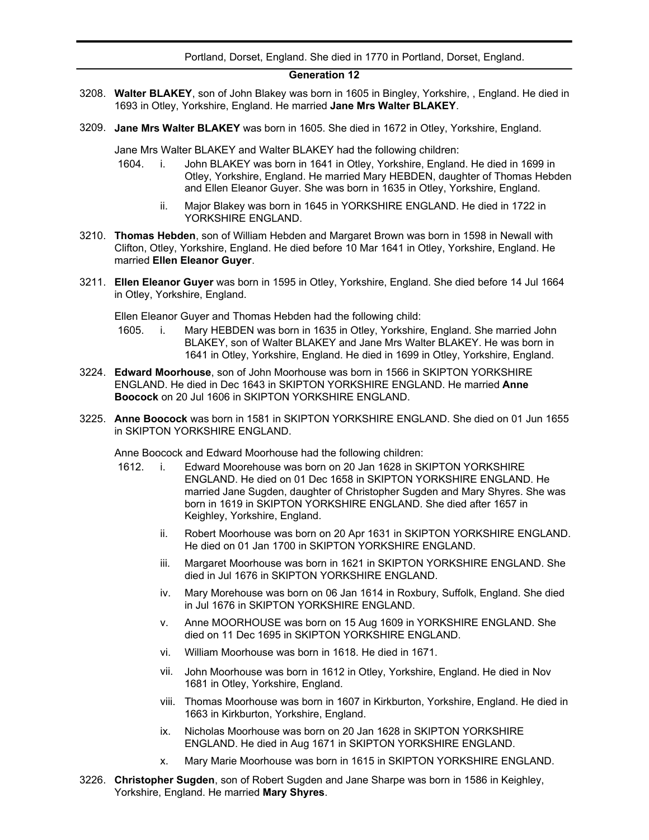### Portland, Dorset, England. She died in 1770 in Portland, Dorset, England.

### **Generation 12**

- **Walter BLAKEY**, son of John Blakey was born in 1605 in Bingley, Yorkshire, , England. He died in 3208. 1693 in Otley, Yorkshire, England. He married **Jane Mrs Walter BLAKEY**.
- 3209. **Jane Mrs Walter BLAKEY** was born in 1605. She died in 1672 in Otley, Yorkshire, England.

Jane Mrs Walter BLAKEY and Walter BLAKEY had the following children:

- 1604. i. John BLAKEY was born in 1641 in Otley, Yorkshire, England. He died in 1699 in Otley, Yorkshire, England. He married Mary HEBDEN, daughter of Thomas Hebden and Ellen Eleanor Guyer. She was born in 1635 in Otley, Yorkshire, England.
	- ii. Major Blakey was born in 1645 in YORKSHIRE ENGLAND. He died in 1722 in YORKSHIRE ENGLAND.
- **Thomas Hebden**, son of William Hebden and Margaret Brown was born in 1598 in Newall with 3210. Clifton, Otley, Yorkshire, England. He died before 10 Mar 1641 in Otley, Yorkshire, England. He married **Ellen Eleanor Guyer**.
- **Ellen Eleanor Guyer** was born in 1595 in Otley, Yorkshire, England. She died before 14 Jul 1664 3211. in Otley, Yorkshire, England.

Ellen Eleanor Guyer and Thomas Hebden had the following child:

- 1605. i. Mary HEBDEN was born in 1635 in Otley, Yorkshire, England. She married John BLAKEY, son of Walter BLAKEY and Jane Mrs Walter BLAKEY. He was born in 1641 in Otley, Yorkshire, England. He died in 1699 in Otley, Yorkshire, England.
- **Edward Moorhouse**, son of John Moorhouse was born in 1566 in SKIPTON YORKSHIRE 3224. ENGLAND. He died in Dec 1643 in SKIPTON YORKSHIRE ENGLAND. He married **Anne Boocock** on 20 Jul 1606 in SKIPTON YORKSHIRE ENGLAND.
- **Anne Boocock** was born in 1581 in SKIPTON YORKSHIRE ENGLAND. She died on 01 Jun 1655 3225. in SKIPTON YORKSHIRE ENGLAND.

Anne Boocock and Edward Moorhouse had the following children:

- 1612. i. Edward Moorehouse was born on 20 Jan 1628 in SKIPTON YORKSHIRE ENGLAND. He died on 01 Dec 1658 in SKIPTON YORKSHIRE ENGLAND. He married Jane Sugden, daughter of Christopher Sugden and Mary Shyres. She was born in 1619 in SKIPTON YORKSHIRE ENGLAND. She died after 1657 in Keighley, Yorkshire, England.
	- ii. Robert Moorhouse was born on 20 Apr 1631 in SKIPTON YORKSHIRE ENGLAND. He died on 01 Jan 1700 in SKIPTON YORKSHIRE ENGLAND.
	- iii. Margaret Moorhouse was born in 1621 in SKIPTON YORKSHIRE ENGLAND. She died in Jul 1676 in SKIPTON YORKSHIRE ENGLAND.
	- iv. Mary Morehouse was born on 06 Jan 1614 in Roxbury, Suffolk, England. She died in Jul 1676 in SKIPTON YORKSHIRE ENGLAND.
	- v. Anne MOORHOUSE was born on 15 Aug 1609 in YORKSHIRE ENGLAND. She died on 11 Dec 1695 in SKIPTON YORKSHIRE ENGLAND.
	- vi. William Moorhouse was born in 1618. He died in 1671.
	- vii. John Moorhouse was born in 1612 in Otley, Yorkshire, England. He died in Nov 1681 in Otley, Yorkshire, England.
	- viii. Thomas Moorhouse was born in 1607 in Kirkburton, Yorkshire, England. He died in 1663 in Kirkburton, Yorkshire, England.
	- ix. Nicholas Moorhouse was born on 20 Jan 1628 in SKIPTON YORKSHIRE ENGLAND. He died in Aug 1671 in SKIPTON YORKSHIRE ENGLAND.
	- x. Mary Marie Moorhouse was born in 1615 in SKIPTON YORKSHIRE ENGLAND.
- **Christopher Sugden**, son of Robert Sugden and Jane Sharpe was born in 1586 in Keighley, 3226.Yorkshire, England. He married **Mary Shyres**.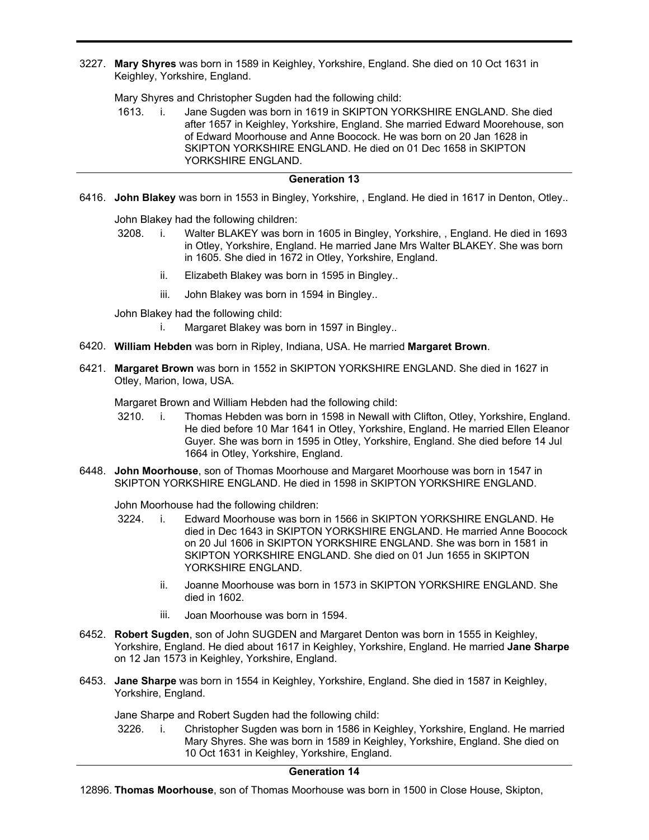**Mary Shyres** was born in 1589 in Keighley, Yorkshire, England. She died on 10 Oct 1631 in 3227. Keighley, Yorkshire, England.

Mary Shyres and Christopher Sugden had the following child:

1613. i. Jane Sugden was born in 1619 in SKIPTON YORKSHIRE ENGLAND. She died after 1657 in Keighley, Yorkshire, England. She married Edward Moorehouse, son of Edward Moorhouse and Anne Boocock. He was born on 20 Jan 1628 in SKIPTON YORKSHIRE ENGLAND. He died on 01 Dec 1658 in SKIPTON YORKSHIRE ENGLAND.

# **Generation 13**

6416. **John Blakey** was born in 1553 in Bingley, Yorkshire, , England. He died in 1617 in Denton, Otley..

John Blakey had the following children:

- 3208. i. Walter BLAKEY was born in 1605 in Bingley, Yorkshire, , England. He died in 1693 in Otley, Yorkshire, England. He married Jane Mrs Walter BLAKEY. She was born in 1605. She died in 1672 in Otley, Yorkshire, England.
	- ii. Elizabeth Blakey was born in 1595 in Bingley..
	- iii. John Blakey was born in 1594 in Bingley..
- John Blakey had the following child:

i. Margaret Blakey was born in 1597 in Bingley..

- 6420. **William Hebden** was born in Ripley, Indiana, USA. He married **Margaret Brown**.
- **Margaret Brown** was born in 1552 in SKIPTON YORKSHIRE ENGLAND. She died in 1627 in 6421. Otley, Marion, Iowa, USA.

Margaret Brown and William Hebden had the following child:

- 3210. i. Thomas Hebden was born in 1598 in Newall with Clifton, Otley, Yorkshire, England. He died before 10 Mar 1641 in Otley, Yorkshire, England. He married Ellen Eleanor Guyer. She was born in 1595 in Otley, Yorkshire, England. She died before 14 Jul 1664 in Otley, Yorkshire, England.
- **John Moorhouse**, son of Thomas Moorhouse and Margaret Moorhouse was born in 1547 in 6448. SKIPTON YORKSHIRE ENGLAND. He died in 1598 in SKIPTON YORKSHIRE ENGLAND.

John Moorhouse had the following children:

- 3224. i. Edward Moorhouse was born in 1566 in SKIPTON YORKSHIRE ENGLAND. He died in Dec 1643 in SKIPTON YORKSHIRE ENGLAND. He married Anne Boocock on 20 Jul 1606 in SKIPTON YORKSHIRE ENGLAND. She was born in 1581 in SKIPTON YORKSHIRE ENGLAND. She died on 01 Jun 1655 in SKIPTON YORKSHIRE ENGLAND.
	- ii. Joanne Moorhouse was born in 1573 in SKIPTON YORKSHIRE ENGLAND. She died in 1602.
	- iii. Joan Moorhouse was born in 1594.
- **Robert Sugden**, son of John SUGDEN and Margaret Denton was born in 1555 in Keighley, 6452. Yorkshire, England. He died about 1617 in Keighley, Yorkshire, England. He married **Jane Sharpe** on 12 Jan 1573 in Keighley, Yorkshire, England.
- **Jane Sharpe** was born in 1554 in Keighley, Yorkshire, England. She died in 1587 in Keighley, 6453. Yorkshire, England.

Jane Sharpe and Robert Sugden had the following child:

3226. i. Christopher Sugden was born in 1586 in Keighley, Yorkshire, England. He married Mary Shyres. She was born in 1589 in Keighley, Yorkshire, England. She died on 10 Oct 1631 in Keighley, Yorkshire, England.

# **Generation 14**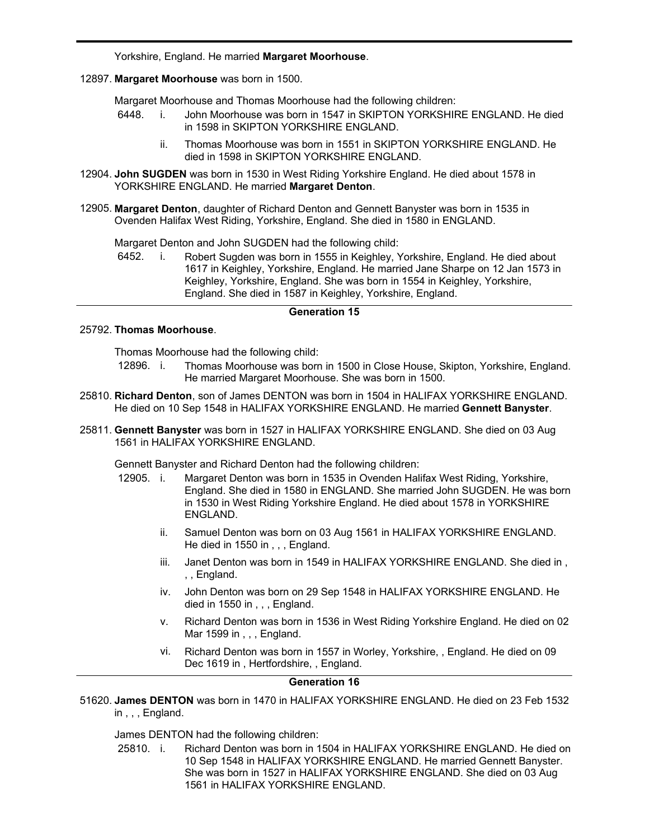Yorkshire, England. He married **Margaret Moorhouse**.

12897. **Margaret Moorhouse** was born in 1500.

12896.

Margaret Moorhouse and Thomas Moorhouse had the following children:

- 6448. i. John Moorhouse was born in 1547 in SKIPTON YORKSHIRE ENGLAND. He died in 1598 in SKIPTON YORKSHIRE ENGLAND.
	- ii. Thomas Moorhouse was born in 1551 in SKIPTON YORKSHIRE ENGLAND. He died in 1598 in SKIPTON YORKSHIRE ENGLAND.
- 12904. John SUGDEN was born in 1530 in West Riding Yorkshire England. He died about 1578 in YORKSHIRE ENGLAND. He married **Margaret Denton**.
- **Margaret Denton**, daughter of Richard Denton and Gennett Banyster was born in 1535 in 12905. Ovenden Halifax West Riding, Yorkshire, England. She died in 1580 in ENGLAND.

Margaret Denton and John SUGDEN had the following child:

6452. i. Robert Sugden was born in 1555 in Keighley, Yorkshire, England. He died about 1617 in Keighley, Yorkshire, England. He married Jane Sharpe on 12 Jan 1573 in Keighley, Yorkshire, England. She was born in 1554 in Keighley, Yorkshire, England. She died in 1587 in Keighley, Yorkshire, England.

### **Generation 15**

#### 25792. **Thomas Moorhouse**.

Thomas Moorhouse had the following child:

- 12896. i. Thomas Moorhouse was born in 1500 in Close House, Skipton, Yorkshire, England. He married Margaret Moorhouse. She was born in 1500.
- **Richard Denton**, son of James DENTON was born in 1504 in HALIFAX YORKSHIRE ENGLAND. 25810. He died on 10 Sep 1548 in HALIFAX YORKSHIRE ENGLAND. He married **Gennett Banyster**.
- **Gennett Banyster** was born in 1527 in HALIFAX YORKSHIRE ENGLAND. She died on 03 Aug 25811. 1561 in HALIFAX YORKSHIRE ENGLAND.

Gennett Banyster and Richard Denton had the following children:

- 12905. i. Margaret Denton was born in 1535 in Ovenden Halifax West Riding, Yorkshire, England. She died in 1580 in ENGLAND. She married John SUGDEN. He was born in 1530 in West Riding Yorkshire England. He died about 1578 in YORKSHIRE ENGLAND.
	- ii. Samuel Denton was born on 03 Aug 1561 in HALIFAX YORKSHIRE ENGLAND. He died in 1550 in , , , England.
	- iii. Janet Denton was born in 1549 in HALIFAX YORKSHIRE ENGLAND. She died in , , , England.
	- iv. John Denton was born on 29 Sep 1548 in HALIFAX YORKSHIRE ENGLAND. He died in 1550 in , , , England.
	- v. Richard Denton was born in 1536 in West Riding Yorkshire England. He died on 02 Mar 1599 in , , , England.
	- vi. Richard Denton was born in 1557 in Worley, Yorkshire, , England. He died on 09 Dec 1619 in , Hertfordshire, , England.

# **Generation 16**

**James DENTON** was born in 1470 in HALIFAX YORKSHIRE ENGLAND. He died on 23 Feb 1532 51620. in , , , England.

James DENTON had the following children:

25810. i. Richard Denton was born in 1504 in HALIFAX YORKSHIRE ENGLAND. He died on 10 Sep 1548 in HALIFAX YORKSHIRE ENGLAND. He married Gennett Banyster. She was born in 1527 in HALIFAX YORKSHIRE ENGLAND. She died on 03 Aug 1561 in HALIFAX YORKSHIRE ENGLAND.